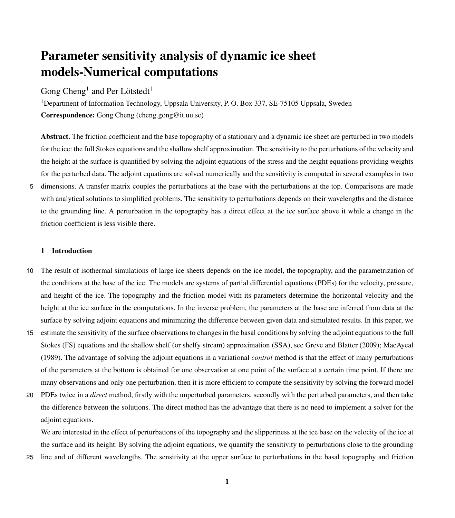# Parameter sensitivity analysis of dynamic ice sheet models-Numerical computations

Gong  $Cheng<sup>1</sup>$  and Per Lötstedt<sup>1</sup>

<sup>1</sup>Department of Information Technology, Uppsala University, P. O. Box 337, SE-75105 Uppsala, Sweden Correspondence: Gong Cheng (cheng.gong@it.uu.se)

Abstract. The friction coefficient and the base topography of a stationary and a dynamic ice sheet are perturbed in two models for the ice: the full Stokes equations and the shallow shelf approximation. The sensitivity to the perturbations of the velocity and the height at the surface is quantified by solving the adjoint equations of the stress and the height equations providing weights for the perturbed data. The adjoint equations are solved numerically and the sensitivity is computed in several examples in two

5 dimensions. A transfer matrix couples the perturbations at the base with the perturbations at the top. Comparisons are made with analytical solutions to simplified problems. The sensitivity to perturbations depends on their wavelengths and the distance to the grounding line. A perturbation in the topography has a direct effect at the ice surface above it while a change in the friction coefficient is less visible there.

# 1 Introduction

- 10 The result of isothermal simulations of large ice sheets depends on the ice model, the topography, and the parametrization of the conditions at the base of the ice. The models are systems of partial differential equations (PDEs) for the velocity, pressure, and height of the ice. The topography and the friction model with its parameters determine the horizontal velocity and the height at the ice surface in the computations. In the inverse problem, the parameters at the base are inferred from data at the surface by solving adjoint equations and minimizing the difference between given data and simulated results. In this paper, we
- 15 estimate the sensitivity of the surface observations to changes in the basal conditions by solving the adjoint equations to the full Stokes (FS) equations and the shallow shelf (or shelfy stream) approximation (SSA), see [Greve and Blatter](#page-26-0) [\(2009\)](#page-26-0); [MacAyeal](#page-27-0) [\(1989\)](#page-27-0). The advantage of solving the adjoint equations in a variational *control* method is that the effect of many perturbations of the parameters at the bottom is obtained for one observation at one point of the surface at a certain time point. If there are many observations and only one perturbation, then it is more efficient to compute the sensitivity by solving the forward model
- 20 PDEs twice in a *direct* method, firstly with the unperturbed parameters, secondly with the perturbed parameters, and then take the difference between the solutions. The direct method has the advantage that there is no need to implement a solver for the adjoint equations.

We are interested in the effect of perturbations of the topography and the slipperiness at the ice base on the velocity of the ice at the surface and its height. By solving the adjoint equations, we quantify the sensitivity to perturbations close to the grounding

25 line and of different wavelengths. The sensitivity at the upper surface to perturbations in the basal topography and friction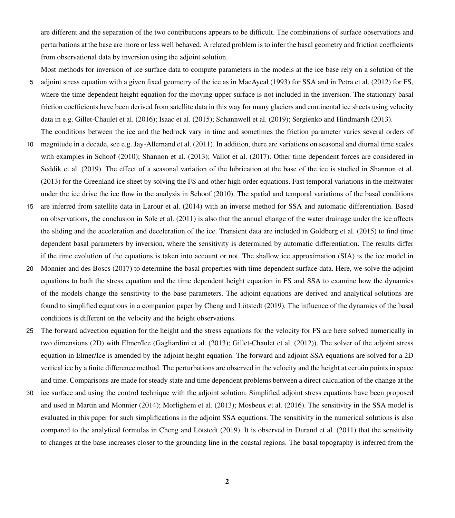are different and the separation of the two contributions appears to be difficult. The combinations of surface observations and perturbations at the base are more or less well behaved. A related problem is to infer the basal geometry and friction coefficients from observational data by inversion using the adjoint solution.

Most methods for inversion of ice surface data to compute parameters in the models at the ice base rely on a solution of the 5 adjoint stress equation with a given fixed geometry of the ice as in [MacAyeal](#page-27-1) [\(1993\)](#page-27-1) for SSA and in [Petra et al.](#page-27-2) [\(2012\)](#page-27-2) for FS, where the time dependent height equation for the moving upper surface is not included in the inversion. The stationary basal friction coefficients have been derived from satellite data in this way for many glaciers and continental ice sheets using velocity data in e.g. [Gillet-Chaulet et al.](#page-26-1) [\(2016\)](#page-26-1); [Isaac et al.](#page-26-2) [\(2015\)](#page-26-2); [Schannwell et al.](#page-27-3) [\(2019\)](#page-27-3); [Sergienko and Hindmarsh](#page-27-4) [\(2013\)](#page-27-4).

The conditions between the ice and the bedrock vary in time and sometimes the friction parameter varies several orders of

- 10 magnitude in a decade, see e.g. [Jay-Allemand et al.](#page-26-3) [\(2011\)](#page-26-3). In addition, there are variations on seasonal and diurnal time scales with examples in [Schoof](#page-27-5) [\(2010\)](#page-27-5); [Shannon et al.](#page-27-6) [\(2013\)](#page-27-6); [Vallot et al.](#page-28-0) [\(2017\)](#page-28-0). Other time dependent forces are considered in [Seddik et al.](#page-27-7) [\(2019\)](#page-27-7). The effect of a seasonal variation of the lubrication at the base of the ice is studied in [Shannon et al.](#page-27-6) [\(2013\)](#page-27-6) for the Greenland ice sheet by solving the FS and other high order equations. Fast temporal variations in the meltwater under the ice drive the ice flow in the analysis in [Schoof](#page-27-5) [\(2010\)](#page-27-5). The spatial and temporal variations of the basal conditions
- 15 are inferred from satellite data in [Larour et al.](#page-27-8) [\(2014\)](#page-27-8) with an inverse method for SSA and automatic differentiation. Based on observations, the conclusion in [Sole et al.](#page-28-1) [\(2011\)](#page-28-1) is also that the annual change of the water drainage under the ice affects the sliding and the acceleration and deceleration of the ice. Transient data are included in [Goldberg et al.](#page-26-4) [\(2015\)](#page-26-4) to find time dependent basal parameters by inversion, where the sensitivity is determined by automatic differentiation. The results differ if the time evolution of the equations is taken into account or not. The shallow ice approximation (SIA) is the ice model in
- 20 [Monnier and des Boscs](#page-27-9) [\(2017\)](#page-27-9) to determine the basal properties with time dependent surface data. Here, we solve the adjoint equations to both the stress equation and the time dependent height equation in FS and SSA to examine how the dynamics of the models change the sensitivity to the base parameters. The adjoint equations are derived and analytical solutions are found to simplified equations in a companion paper by [Cheng and Lötstedt](#page-26-5) [\(2019\)](#page-26-5). The influence of the dynamics of the basal conditions is different on the velocity and the height observations.
- 25 The forward advection equation for the height and the stress equations for the velocity for FS are here solved numerically in two dimensions (2D) with Elmer/Ice [\(Gagliardini et al.](#page-26-6) [\(2013\)](#page-26-6); [Gillet-Chaulet et al.](#page-26-7) [\(2012\)](#page-26-7)). The solver of the adjoint stress equation in Elmer/Ice is amended by the adjoint height equation. The forward and adjoint SSA equations are solved for a 2D vertical ice by a finite difference method. The perturbations are observed in the velocity and the height at certain points in space and time. Comparisons are made for steady state and time dependent problems between a direct calculation of the change at the
- 30 ice surface and using the control technique with the adjoint solution. Simplified adjoint stress equations have been proposed and used in [Martin and Monnier](#page-27-10) [\(2014\)](#page-27-10); [Morlighem et al.](#page-27-11) [\(2013\)](#page-27-11); [Mosbeux et al.](#page-27-12) [\(2016\)](#page-27-12). The sensitivity in the SSA model is evaluated in this paper for such simplifications in the adjoint SSA equations. The sensitivity in the numerical solutions is also compared to the analytical formulas in [Cheng and Lötstedt](#page-26-5) [\(2019\)](#page-26-5). It is observed in [Durand et al.](#page-26-8) [\(2011\)](#page-26-8) that the sensitivity to changes at the base increases closer to the grounding line in the coastal regions. The basal topography is inferred from the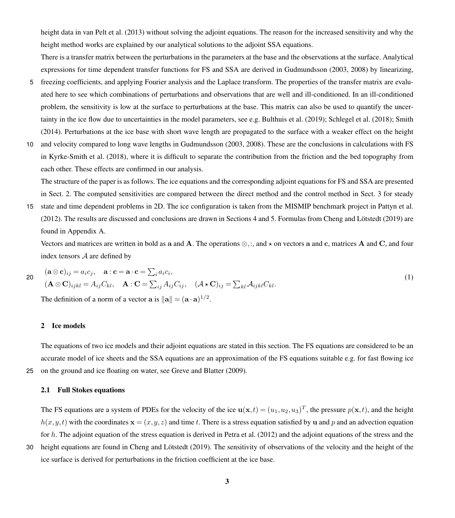height data in [van Pelt et al.](#page-27-13) [\(2013\)](#page-27-13) without solving the adjoint equations. The reason for the increased sensitivity and why the height method works are explained by our analytical solutions to the adjoint SSA equations.

There is a transfer matrix between the perturbations in the parameters at the base and the observations at the surface. Analytical expressions for time dependent transfer functions for FS and SSA are derived in [Gudmundsson](#page-26-9) [\(2003,](#page-26-9) [2008\)](#page-26-10) by linearizing,

- 5 freezing coefficients, and applying Fourier analysis and the Laplace transform. The properties of the transfer matrix are evaluated here to see which combinations of perturbations and observations that are well and ill-conditioned. In an ill-conditioned problem, the sensitivity is low at the surface to perturbations at the base. This matrix can also be used to quantify the uncertainty in the ice flow due to uncertainties in the model parameters, see e.g. [Bulthuis et al.](#page-26-11) [\(2019\)](#page-26-11); [Schlegel et al.](#page-27-14) [\(2018\)](#page-27-14); [Smith](#page-28-2) [\(2014\)](#page-28-2). Perturbations at the ice base with short wave length are propagated to the surface with a weaker effect on the height
- 10 and velocity compared to long wave lengths in [Gudmundsson](#page-26-9) [\(2003,](#page-26-9) [2008\)](#page-26-10). These are the conclusions in calculations with FS in [Kyrke-Smith et al.](#page-26-12) [\(2018\)](#page-26-12), where it is difficult to separate the contribution from the friction and the bed topography from each other. These effects are confirmed in our analysis.

The structure of the paper is as follows. The ice equations and the corresponding adjoint equations for FS and SSA are presented in Sect. [2.](#page-2-0) The computed sensitivities are compared between the direct method and the control method in Sect. [3](#page-9-0) for steady

15 state and time dependent problems in 2D. The ice configuration is taken from the MISMIP benchmark project in [Pattyn et al.](#page-27-15) [\(2012\)](#page-27-15). The results are discussed and conclusions are drawn in Sections [4](#page-18-0) and [5.](#page-21-0) Formulas from [Cheng and Lötstedt](#page-26-5) [\(2019\)](#page-26-5) are found in Appendix [A.](#page-24-0)

Vectors and matrices are written in bold as a and A. The operations  $\otimes$ ,:, and  $\star$  on vectors a and c, matrices A and C, and four index tensors A are defined by

$$
\begin{aligned}\n\mathbf{(a} \otimes \mathbf{c})_{ij} &= a_i c_j, \quad \mathbf{a} : \mathbf{c} = \mathbf{a} \cdot \mathbf{c} = \sum_i a_i c_i, \\
(\mathbf{A} \otimes \mathbf{C})_{ijkl} &= A_{ij} C_{kl}, \quad \mathbf{A} : \mathbf{C} = \sum_{ij} A_{ij} C_{ij}, \quad (\mathcal{A} \star \mathbf{C})_{ij} = \sum_{kl} A_{ijkl} C_{kl}.\n\end{aligned} \tag{1}
$$

The definition of a norm of a vector  $\mathbf{a}$  is  $\|\mathbf{a}\| = (\mathbf{a} \cdot \mathbf{a})^{1/2}$ .

## <span id="page-2-0"></span>2 Ice models

The equations of two ice models and their adjoint equations are stated in this section. The FS equations are considered to be an accurate model of ice sheets and the SSA equations are an approximation of the FS equations suitable e.g. for fast flowing ice 25 on the ground and ice floating on water, see [Greve and Blatter](#page-26-0) [\(2009\)](#page-26-0).

#### 2.1 Full Stokes equations

The FS equations are a system of PDEs for the velocity of the ice  $\mathbf{u}(\mathbf{x},t) = (u_1,u_2,u_3)^T$ , the pressure  $p(\mathbf{x},t)$ , and the height  $h(x,y,t)$  with the coordinates  $\mathbf{x} = (x,y,z)$  and time t. There is a stress equation satisfied by u and p and an advection equation for h. The adjoint equation of the stress equation is derived in [Petra et al.](#page-27-2) [\(2012\)](#page-27-2) and the adjoint equations of the stress and the

30 height equations are found in [Cheng and Lötstedt](#page-26-5) [\(2019\)](#page-26-5). The sensitivity of observations of the velocity and the height of the ice surface is derived for perturbations in the friction coefficient at the ice base.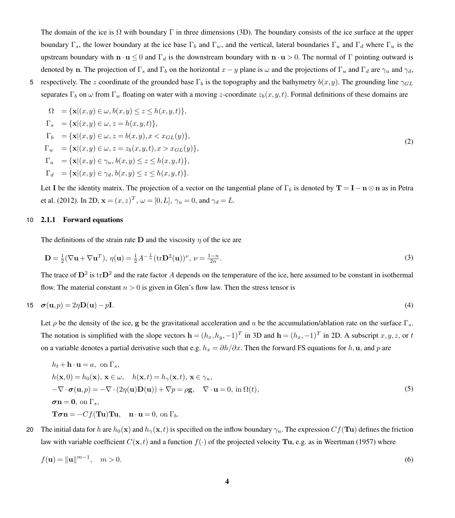The domain of the ice is  $\Omega$  with boundary  $\Gamma$  in three dimensions (3D). The boundary consists of the ice surface at the upper boundary Γ<sub>s</sub>, the lower boundary at the ice base Γ<sub>b</sub> and Γ<sub>w</sub>, and the vertical, lateral boundaries Γ<sub>u</sub> and Γ<sub>d</sub> where Γ<sub>u</sub> is the upstream boundary with  $\mathbf{n} \cdot \mathbf{u} \leq 0$  and  $\Gamma_d$  is the downstream boundary with  $\mathbf{n} \cdot \mathbf{u} > 0$ . The normal of  $\Gamma$  pointing outward is denoted by n. The projection of  $\Gamma_s$  and  $\Gamma_b$  on the horizontal  $x - y$  plane is  $\omega$  and the projections of  $\Gamma_u$  and  $\Gamma_d$  are  $\gamma_u$  and  $\gamma_d$ ,

5 respectively. The z coordinate of the grounded base  $\Gamma_b$  is the topography and the bathymetry  $b(x,y)$ . The grounding line  $\gamma_{GL}$ separates  $\Gamma_b$  on  $\omega$  from  $\Gamma_w$  floating on water with a moving z-coordinate  $z_b(x,y,t)$ . Formal definitions of these domains are

<span id="page-3-2"></span>
$$
\Omega = \{ \mathbf{x} | (x, y) \in \omega, b(x, y) \le z \le h(x, y, t) \},
$$
  
\n
$$
\Gamma_s = \{ \mathbf{x} | (x, y) \in \omega, z = h(x, y, t) \},
$$
  
\n
$$
\Gamma_b = \{ \mathbf{x} | (x, y) \in \omega, z = b(x, y), x < x_{GL}(y) \},
$$
  
\n
$$
\Gamma_w = \{ \mathbf{x} | (x, y) \in \omega, z = z_b(x, y, t), x > x_{GL}(y) \},
$$
  
\n
$$
\Gamma_u = \{ \mathbf{x} | (x, y) \in \gamma_u, b(x, y) \le z \le h(x, y, t) \},
$$
  
\n
$$
\Gamma_d = \{ \mathbf{x} | (x, y) \in \gamma_d, b(x, y) \le z \le h(x, y, t) \}.
$$
\n
$$
(2)
$$

[L](#page-27-2)et I be the identity matrix. The projection of a vector on the tangential plane of  $\Gamma_b$  is denoted by  $T = I - n \otimes n$  as in [Petra](#page-27-2) [et al.](#page-27-2) [\(2012\)](#page-27-2). In 2D,  $\mathbf{x} = (x, z)^T$ ,  $\omega = [0, L]$ ,  $\gamma_u = 0$ , and  $\gamma_d = L$ .

# 10 2.1.1 Forward equations

The definitions of the strain rate D and the viscosity  $\eta$  of the ice are

$$
\mathbf{D} = \frac{1}{2} (\nabla \mathbf{u} + \nabla \mathbf{u}^T), \ \eta(\mathbf{u}) = \frac{1}{2} A^{-\frac{1}{n}} (\text{tr} \mathbf{D}^2(\mathbf{u}))^\nu, \ \nu = \frac{1-n}{2n}.
$$

The trace of  $D^2$  is  $trD^2$  and the rate factor A depends on the temperature of the ice, here assumed to be constant in isothermal flow. The material constant  $n > 0$  is given in Glen's flow law. Then the stress tensor is

$$
15 \quad \sigma(\mathbf{u}, p) = 2\eta \mathbf{D}(\mathbf{u}) - p\mathbf{I}.\tag{4}
$$

Let  $\rho$  be the density of the ice, g be the gravitational acceleration and  $\alpha$  be the accumulation/ablation rate on the surface  $\Gamma_s$ . The notation is simplified with the slope vectors  $\mathbf{h} = (h_x, h_y, -1)^T$  in 3D and  $\mathbf{h} = (h_x, -1)^T$  in 2D. A subscript  $x, y, z$ , or t on a variable denotes a partial derivative such that e.g.  $h_x = \partial h/\partial x$ . Then the forward FS equations for h, u, and p are

<span id="page-3-1"></span><span id="page-3-0"></span>
$$
h_t + \mathbf{h} \cdot \mathbf{u} = a, \text{ on } \Gamma_s,
$$
  
\n
$$
h(\mathbf{x}, 0) = h_0(\mathbf{x}), \mathbf{x} \in \omega, \quad h(\mathbf{x}, t) = h_\gamma(\mathbf{x}, t), \mathbf{x} \in \gamma_u,
$$
  
\n
$$
-\nabla \cdot \boldsymbol{\sigma}(\mathbf{u}, p) = -\nabla \cdot (2\eta(\mathbf{u})\mathbf{D}(\mathbf{u})) + \nabla p = \rho \mathbf{g}, \quad \nabla \cdot \mathbf{u} = 0, \text{ in } \Omega(t),
$$
  
\n
$$
\boldsymbol{\sigma} \mathbf{n} = \mathbf{0}, \text{ on } \Gamma_s,
$$
  
\n
$$
\mathbf{T}\boldsymbol{\sigma} \mathbf{n} = -Cf(\mathbf{T}\mathbf{u})\mathbf{T}\mathbf{u}, \quad \mathbf{n} \cdot \mathbf{u} = 0, \text{ on } \Gamma_b.
$$
\n(5)

20 The initial data for h are  $h_0(\mathbf{x})$  and  $h_\gamma(\mathbf{x}, t)$  is specified on the inflow boundary  $\gamma_u$ . The expression  $Cf(\mathbf{T}u)$  defines the friction law with variable coefficient  $C(\mathbf{x}, t)$  and a function  $f(\cdot)$  of the projected velocity **Tu**, e.g. as in [Weertman](#page-28-3) [\(1957\)](#page-28-3) where

$$
f(\mathbf{u}) = \|\mathbf{u}\|^{m-1}, \quad m > 0. \tag{6}
$$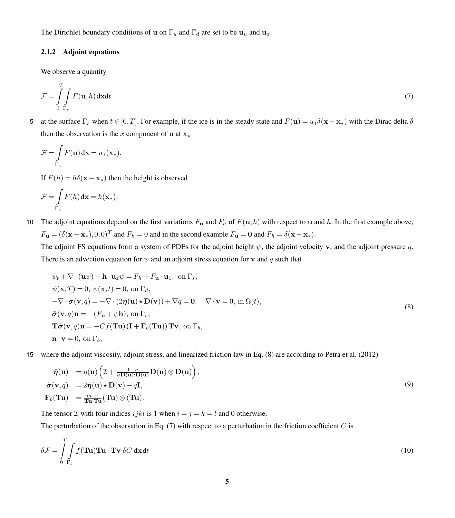The Dirichlet boundary conditions of u on  $\Gamma_u$  and  $\Gamma_d$  are set to be  $u_u$  and  $u_d$ .

# <span id="page-4-2"></span>2.1.2 Adjoint equations

<span id="page-4-1"></span>We observe a quantity

$$
\mathcal{F} = \int_{0}^{T} \int_{\Gamma_s} F(\mathbf{u}, h) \, \mathrm{d}\mathbf{x} \mathrm{d}t \tag{7}
$$

5 at the surface  $\Gamma_s$  when  $t \in [0, T]$ . For example, if the ice is in the steady state and  $F(\mathbf{u}) = u_1 \delta(\mathbf{x} - \mathbf{x}_*)$  with the Dirac delta  $\delta$ then the observation is the x component of u at  $x^*$ 

$$
\mathcal{F} = \int\limits_{\Gamma_s} F(\mathbf{u}) \, \mathrm{d} \mathbf{x} = u_1(\mathbf{x}_*).
$$

If  $F(h) = h\delta(\mathbf{x} - \mathbf{x}_{*})$  then the height is observed

$$
\mathcal{F} = \int\limits_{\Gamma_s} F(h) \, \mathrm{d} \mathbf{x} = h(\mathbf{x}_*).
$$

10 The adjoint equations depend on the first variations  $F_u$  and  $F_h$  of  $F(u,h)$  with respect to u and h. In the first example above,  $F_{\mathbf{u}} = (\delta(\mathbf{x} - \mathbf{x}_*), 0, 0)^T$  and  $F_h = 0$  and in the second example  $F_{\mathbf{u}} = \mathbf{0}$  and  $F_h = \delta(\mathbf{x} - \mathbf{x}_*).$ 

The adjoint FS equations form a system of PDEs for the adjoint height  $\psi$ , the adjoint velocity v, and the adjoint pressure q. There is an advection equation for  $\psi$  and an adjoint stress equation for **v** and q such that

<span id="page-4-0"></span>
$$
\psi_t + \nabla \cdot (\mathbf{u}\psi) - \mathbf{h} \cdot \mathbf{u}_z \psi = F_h + F_\mathbf{u} \cdot \mathbf{u}_z, \text{ on } \Gamma_s,\n\psi(\mathbf{x}, T) = 0, \psi(\mathbf{x}, t) = 0, \text{ on } \Gamma_d,\n-\nabla \cdot \tilde{\sigma}(\mathbf{v}, q) = -\nabla \cdot (2\tilde{\eta}(\mathbf{u}) \star \mathbf{D}(\mathbf{v})) + \nabla q = \mathbf{0}, \quad \nabla \cdot \mathbf{v} = 0, \text{ in } \Omega(t),\n\tilde{\sigma}(\mathbf{v}, q)\mathbf{n} = -(F_\mathbf{u} + \psi \mathbf{h}), \text{ on } \Gamma_s,\n\mathbf{T}\tilde{\sigma}(\mathbf{v}, q)\mathbf{n} = -Cf(\mathbf{T}\mathbf{u})(\mathbf{I} + \mathbf{F}_b(\mathbf{T}\mathbf{u}))\mathbf{T}\mathbf{v}, \text{ on } \Gamma_b,\n\mathbf{n} \cdot \mathbf{v} = 0, \text{ on } \Gamma_b,
$$
\n(8)

15 where the adjoint viscosity, adjoint stress, and linearized friction law in Eq. [\(8\)](#page-4-0) are according to [Petra et al.](#page-27-2) [\(2012\)](#page-27-2)

<span id="page-4-4"></span><span id="page-4-3"></span>
$$
\tilde{\boldsymbol{\eta}}(\mathbf{u}) = \eta(\mathbf{u}) \left( \mathcal{I} + \frac{1 - n}{n \mathbf{D}(\mathbf{u}) \cdot \mathbf{D}(\mathbf{u})} \mathbf{D}(\mathbf{u}) \otimes \mathbf{D}(\mathbf{u}) \right), \n\tilde{\boldsymbol{\sigma}}(\mathbf{v}, q) = 2\tilde{\boldsymbol{\eta}}(\mathbf{u}) \star \mathbf{D}(\mathbf{v}) - q\mathbf{I}, \n\mathbf{F}_b(\mathbf{T}\mathbf{u}) = \frac{m-1}{\mathbf{T}\mathbf{u} \cdot \mathbf{T}\mathbf{u}} (\mathbf{T}\mathbf{u}) \otimes (\mathbf{T}\mathbf{u}).
$$
\n(9)

The tensor  $\mathcal I$  with four indices ijkl is 1 when  $i = j = k = l$  and 0 otherwise.

The perturbation of the observation in Eq.  $(7)$  with respect to a perturbation in the friction coefficient C is

$$
\delta \mathcal{F} = \int_{0}^{T} \int_{\Gamma_b} f(\mathbf{T} \mathbf{u}) \mathbf{T} \mathbf{u} \cdot \mathbf{T} \mathbf{v} \, \delta C \, \mathrm{d}\mathbf{x} \, \mathrm{d}t \tag{10}
$$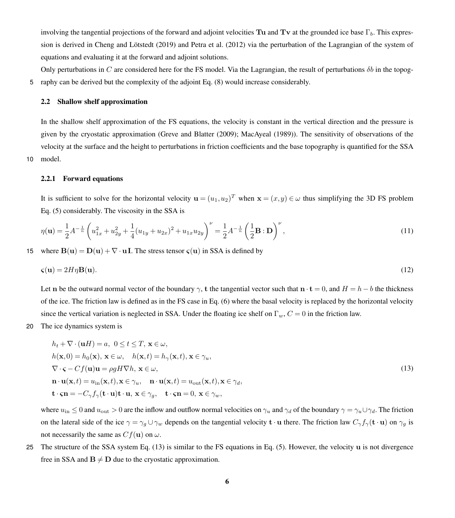involving the tangential projections of the forward and adjoint velocities Tu and Tv at the grounded ice base  $\Gamma_b$ . This expression is derived in [Cheng and Lötstedt](#page-26-5) [\(2019\)](#page-26-5) and [Petra et al.](#page-27-2) [\(2012\)](#page-27-2) via the perturbation of the Lagrangian of the system of equations and evaluating it at the forward and adjoint solutions.

Only perturbations in C are considered here for the FS model. Via the Lagrangian, the result of perturbations  $\delta b$  in the topog-5 raphy can be derived but the complexity of the adjoint Eq. [\(8\)](#page-4-0) would increase considerably.

#### 2.2 Shallow shelf approximation

In the shallow shelf approximation of the FS equations, the velocity is constant in the vertical direction and the pressure is given by the cryostatic approximation [\(Greve and Blatter](#page-26-0) [\(2009\)](#page-26-0); [MacAyeal](#page-27-0) [\(1989\)](#page-27-0)). The sensitivity of observations of the velocity at the surface and the height to perturbations in friction coefficients and the base topography is quantified for the SSA 10 model.

## 2.2.1 Forward equations

It is sufficient to solve for the horizontal velocity  $\mathbf{u} = (u_1, u_2)^T$  when  $\mathbf{x} = (x, y) \in \omega$  thus simplifying the 3D FS problem Eq. [\(5\)](#page-3-0) considerably. The viscosity in the SSA is

<span id="page-5-1"></span>
$$
\eta(\mathbf{u}) = \frac{1}{2}A^{-\frac{1}{n}} \left( u_{1x}^2 + u_{2y}^2 + \frac{1}{4} (u_{1y} + u_{2x})^2 + u_{1x} u_{2y} \right)^{\nu} = \frac{1}{2}A^{-\frac{1}{n}} \left( \frac{1}{2} \mathbf{B} : \mathbf{D} \right)^{\nu},\tag{11}
$$

15 where  $B(u) = D(u) + \nabla \cdot uI$ . The stress tensor  $\varsigma(u)$  in SSA is defined by

$$
\boldsymbol{\varsigma}(\mathbf{u}) = 2H\eta \mathbf{B}(\mathbf{u}).\tag{12}
$$

Let n be the outward normal vector of the boundary  $\gamma$ , t the tangential vector such that  $\mathbf{n} \cdot \mathbf{t} = 0$ , and  $H = h - b$  the thickness of the ice. The friction law is defined as in the FS case in Eq. [\(6\)](#page-3-1) where the basal velocity is replaced by the horizontal velocity since the vertical variation is neglected in SSA. Under the floating ice shelf on  $\Gamma_w$ ,  $C = 0$  in the friction law.

20 The ice dynamics system is

<span id="page-5-0"></span>
$$
h_t + \nabla \cdot (\mathbf{u}H) = a, \ 0 \le t \le T, \ \mathbf{x} \in \omega,
$$
  
\n
$$
h(\mathbf{x}, 0) = h_0(\mathbf{x}), \ \mathbf{x} \in \omega, \quad h(\mathbf{x}, t) = h_\gamma(\mathbf{x}, t), \ \mathbf{x} \in \gamma_u,
$$
  
\n
$$
\nabla \cdot \mathbf{S} - Cf(\mathbf{u})\mathbf{u} = \rho g H \nabla h, \ \mathbf{x} \in \omega,
$$
  
\n
$$
\mathbf{n} \cdot \mathbf{u}(\mathbf{x}, t) = u_{\text{in}}(\mathbf{x}, t), \mathbf{x} \in \gamma_u, \quad \mathbf{n} \cdot \mathbf{u}(\mathbf{x}, t) = u_{\text{out}}(\mathbf{x}, t), \mathbf{x} \in \gamma_d,
$$
  
\n
$$
\mathbf{t} \cdot \mathbf{S} \mathbf{n} = -C_\gamma f_\gamma(\mathbf{t} \cdot \mathbf{u}) \mathbf{t} \cdot \mathbf{u}, \ \mathbf{x} \in \gamma_g, \quad \mathbf{t} \cdot \mathbf{S} \mathbf{n} = 0, \ \mathbf{x} \in \gamma_w,
$$
\n(13)

where  $u_{\text{in}} \leq 0$  and  $u_{\text{out}} > 0$  are the inflow and outflow normal velocities on  $\gamma_u$  and  $\gamma_d$  of the boundary  $\gamma = \gamma_u \cup \gamma_d$ . The friction on the lateral side of the ice  $\gamma = \gamma_g \cup \gamma_w$  depends on the tangential velocity  $\mathbf{t} \cdot \mathbf{u}$  there. The friction law  $C_{\gamma} f_{\gamma}(\mathbf{t} \cdot \mathbf{u})$  on  $\gamma_g$  is not necessarily the same as  $Cf(\mathbf{u})$  on  $\omega$ .

25 The structure of the SSA system Eq. [\(13\)](#page-5-0) is similar to the FS equations in Eq. [\(5\)](#page-3-0). However, the velocity u is not divergence free in SSA and  $B \neq D$  due to the cryostatic approximation.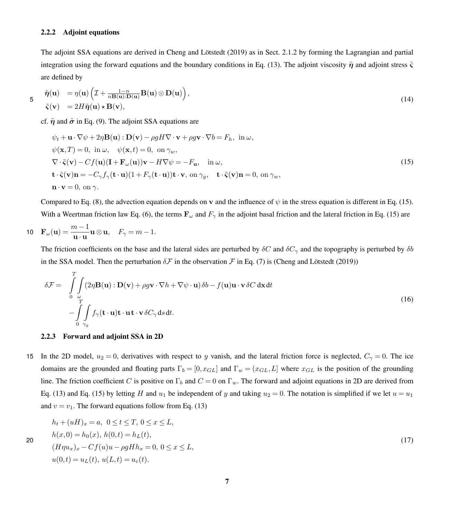## 2.2.2 Adjoint equations

<span id="page-6-1"></span>The adjoint SSA equations are derived in [Cheng and Lötstedt](#page-26-5) [\(2019\)](#page-26-5) as in Sect. [2.1.2](#page-4-2) by forming the Lagrangian and partial integration using the forward equations and the boundary conditions in Eq. [\(13\)](#page-5-0). The adjoint viscosity  $\tilde{\eta}$  and adjoint stress  $\tilde{\zeta}$ are defined by

$$
\tilde{\eta}(\mathbf{u}) = \eta(\mathbf{u}) \left( \mathcal{I} + \frac{1 - n}{n \mathbf{B}(\mathbf{u}): \mathbf{D}(\mathbf{u})} \mathbf{B}(\mathbf{u}) \otimes \mathbf{D}(\mathbf{u}) \right),
$$
\n
$$
\tilde{\zeta}(\mathbf{v}) = 2H\tilde{\eta}(\mathbf{u}) \star \mathbf{B}(\mathbf{v}),
$$
\n(14)

cf.  $\tilde{\eta}$  and  $\tilde{\sigma}$  in Eq. [\(9\)](#page-4-3). The adjoint SSA equations are

<span id="page-6-0"></span>
$$
\psi_t + \mathbf{u} \cdot \nabla \psi + 2\eta \mathbf{B}(\mathbf{u}) : \mathbf{D}(\mathbf{v}) - \rho g H \nabla \cdot \mathbf{v} + \rho g \mathbf{v} \cdot \nabla b = F_h, \text{ in } \omega,
$$
  
\n
$$
\psi(\mathbf{x}, T) = 0, \text{ in } \omega, \quad \psi(\mathbf{x}, t) = 0, \text{ on } \gamma_w,
$$
  
\n
$$
\nabla \cdot \tilde{\mathbf{v}}(\mathbf{v}) - Cf(\mathbf{u})(\mathbf{I} + \mathbf{F}_{\omega}(\mathbf{u}))\mathbf{v} - H \nabla \psi = -F_{\mathbf{u}}, \text{ in } \omega,
$$
  
\n
$$
\mathbf{t} \cdot \tilde{\mathbf{v}}(\mathbf{v})\mathbf{n} = -C_{\gamma} f_{\gamma}(\mathbf{t} \cdot \mathbf{u})(1 + F_{\gamma}(\mathbf{t} \cdot \mathbf{u}))\mathbf{t} \cdot \mathbf{v}, \text{ on } \gamma_g, \quad \mathbf{t} \cdot \tilde{\mathbf{v}}(\mathbf{v})\mathbf{n} = 0, \text{ on } \gamma_w,
$$
  
\n
$$
\mathbf{n} \cdot \mathbf{v} = 0, \text{ on } \gamma.
$$
 (15)

Compared to Eq. [\(8\)](#page-4-0), the advection equation depends on v and the influence of  $\psi$  in the stress equation is different in Eq. [\(15\)](#page-6-0). With a Weertman friction law Eq. [\(6\)](#page-3-1), the terms  $\mathbf{F}_{\omega}$  and  $F_{\gamma}$  in the adjoint basal friction and the lateral friction in Eq. [\(15\)](#page-6-0) are

$$
\mathbf{10}\quad \mathbf{F}_{\omega}(\mathbf{u})=\frac{m-1}{\mathbf{u}\cdot\mathbf{u}}\mathbf{u}\otimes\mathbf{u},\quad F_{\gamma}=m-1.
$$

The friction coefficients on the base and the lateral sides are perturbed by  $\delta C$  and  $\delta C_{\gamma}$  and the topography is perturbed by  $\delta b$ in the SSA model. Then the perturbation  $\delta \mathcal{F}$  in the observation  $\mathcal{F}$  in Eq. [\(7\)](#page-4-1) is [\(Cheng and Lötstedt](#page-26-5) [\(2019\)](#page-26-5))

<span id="page-6-3"></span>
$$
\delta \mathcal{F} = \int_{0}^{T} \int_{\omega} (2\eta \mathbf{B}(\mathbf{u}) : \mathbf{D}(\mathbf{v}) + \rho g \mathbf{v} \cdot \nabla h + \nabla \psi \cdot \mathbf{u}) \delta b - f(\mathbf{u}) \mathbf{u} \cdot \mathbf{v} \delta C \, d\mathbf{x} dt - \int_{0}^{T} \int_{\gamma g} f_{\gamma}(\mathbf{t} \cdot \mathbf{u}) \mathbf{t} \cdot \mathbf{u} \mathbf{t} \cdot \mathbf{v} \delta C_{\gamma} ds dt.
$$
 (16)

#### <span id="page-6-2"></span>2.2.3 Forward and adjoint SSA in 2D

15 In the 2D model,  $u_2 = 0$ , derivatives with respect to y vanish, and the lateral friction force is neglected,  $C_\gamma = 0$ . The ice domains are the grounded and floating parts  $\Gamma_b = [0, x_{GL}]$  and  $\Gamma_w = (x_{GL}, L]$  where  $x_{GL}$  is the position of the grounding line. The friction coefficient C is positive on  $\Gamma_b$  and  $C = 0$  on  $\Gamma_w$ . The forward and adjoint equations in 2D are derived from Eq. [\(13\)](#page-5-0) and Eq. [\(15\)](#page-6-0) by letting H and  $u_1$  be independent of y and taking  $u_2 = 0$ . The notation is simplified if we let  $u = u_1$ and  $v = v_1$ . The forward equations follow from Eq. [\(13\)](#page-5-0)

$$
h_t + (uH)_x = a, \ 0 \le t \le T, \ 0 \le x \le L,
$$
  
\n
$$
h(x, 0) = h_0(x), \ h(0, t) = h_L(t),
$$
  
\n
$$
(H\eta u_x)_x - Cf(u)u - \rho g H h_x = 0, \ 0 \le x \le L,
$$
  
\n
$$
u(0, t) = u_L(t), \ u(L, t) = u_c(t).
$$
\n(17)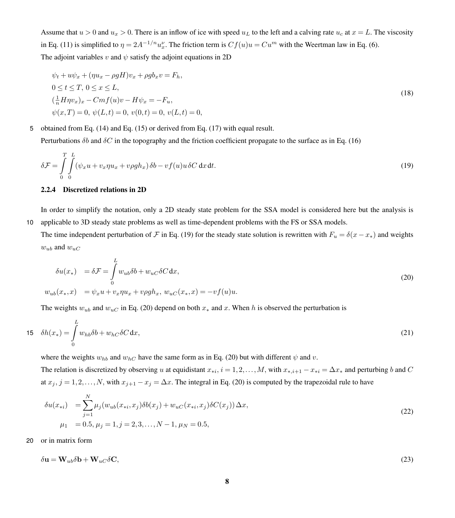Assume that  $u > 0$  and  $u_x > 0$ . There is an inflow of ice with speed  $u_L$  to the left and a calving rate  $u_c$  at  $x = L$ . The viscosity in Eq. [\(11\)](#page-5-1) is simplified to  $\eta = 2A^{-1/n}u_x^{\nu}$ . The friction term is  $Cf(u)u = Cu^m$  with the Weertman law in Eq. [\(6\)](#page-3-1). The adjoint variables v and  $\psi$  satisfy the adjoint equations in 2D

<span id="page-7-3"></span><span id="page-7-0"></span>
$$
\psi_t + u\psi_x + (\eta u_x - \rho g H)v_x + \rho g b_x v = F_h,\n0 \le t \le T, 0 \le x \le L,\n(\frac{1}{n} H \eta v_x)_x - Cmf(u)v - H \psi_x = -F_u,\n\psi(x,T) = 0, \psi(L,t) = 0, v(0,t) = 0, v(L,t) = 0,
$$
\n(18)

5 obtained from Eq. [\(14\)](#page-6-1) and Eq. [\(15\)](#page-6-0) or derived from Eq. [\(17\)](#page-6-2) with equal result.

Perturbations  $\delta b$  and  $\delta C$  in the topography and the friction coefficient propagate to the surface as in Eq. [\(16\)](#page-6-3)

$$
\delta \mathcal{F} = \int_{0}^{T} \int_{0}^{L} (\psi_x u + v_x \eta u_x + v \rho g h_x) \delta b - v f(u) u \delta C \, dx \, dt.
$$
\n(19)

# 2.2.4 Discretized relations in 2D

In order to simplify the notation, only a 2D steady state problem for the SSA model is considered here but the analysis is 10 applicable to 3D steady state problems as well as time-dependent problems with the FS or SSA models.

The time independent perturbation of F in Eq. [\(19\)](#page-7-0) for the steady state solution is rewritten with  $F_u = \delta(x - x_*)$  and weights  $w_{ub}$  and  $w_{uc}$ 

<span id="page-7-1"></span>
$$
\delta u(x_*) = \delta \mathcal{F} = \int_0^L w_{ub} \delta b + w_{uc} \delta C \, dx,
$$
  
\n
$$
w_{ub}(x_*, x) = \psi_x u + v_x \eta u_x + v \rho g h_x, w_{uc}(x_*, x) = -v f(u) u.
$$
\n(20)

The weights  $w_{ub}$  and  $w_{uc}$  in Eq. [\(20\)](#page-7-1) depend on both  $x_*$  and x. When h is observed the perturbation is

$$
15 \quad \delta h(x_*) = \int\limits_0^L w_{hb} \delta b + w_{hC} \delta C \, \mathrm{d}x,\tag{21}
$$

where the weights  $w_{hb}$  and  $w_{hc}$  have the same form as in Eq. [\(20\)](#page-7-1) but with different  $\psi$  and v.

The relation is discretized by observing u at equidistant  $x_{*i}$ ,  $i = 1, 2, ..., M$ , with  $x_{*,i+1} - x_{*i} = \Delta x_*$  and perturbing b and C at  $x_j$ ,  $j = 1, 2, ..., N$ , with  $x_{j+1} - x_j = \Delta x$ . The integral in Eq. [\(20\)](#page-7-1) is computed by the trapezoidal rule to have

$$
\delta u(x_{*i}) = \sum_{j=1}^{N} \mu_j(w_{ub}(x_{*i}, x_j) \delta b(x_j) + w_{uC}(x_{*i}, x_j) \delta C(x_j)) \Delta x,
$$
  
\n
$$
\mu_1 = 0.5, \mu_j = 1, j = 2, 3, ..., N - 1, \mu_N = 0.5,
$$
\n(22)

20 or in matrix form

<span id="page-7-2"></span>
$$
\delta \mathbf{u} = \mathbf{W}_{ub} \delta \mathbf{b} + \mathbf{W}_{uc} \delta \mathbf{C},\tag{23}
$$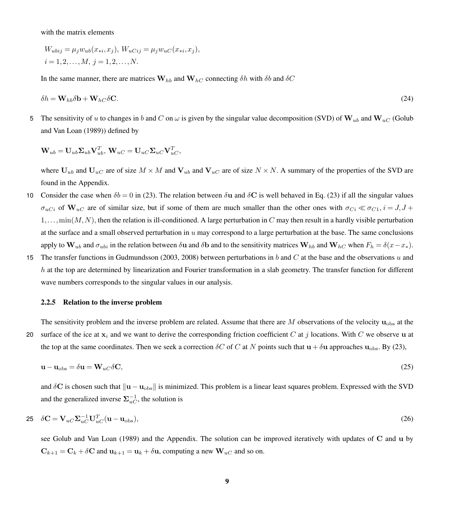with the matrix elements

<span id="page-8-1"></span>
$$
W_{ubij} = \mu_j w_{ub}(x_{*i}, x_j), W_{uCij} = \mu_j w_{uC}(x_{*i}, x_j),
$$
  

$$
i = 1, 2, ..., M, j = 1, 2, ..., N.
$$

In the same manner, there are matrices  $W_{hb}$  and  $W_{hc}$  connecting  $\delta h$  with  $\delta b$  and  $\delta C$ 

$$
\delta h = \mathbf{W}_{hb}\delta \mathbf{b} + \mathbf{W}_{hc}\delta \mathbf{C}.\tag{24}
$$

5 [T](#page-26-13)he sensitivity of u to changes in b and C on  $\omega$  is given by the singular value decomposition (SVD) of  $W_{ub}$  and  $W_{uc}$  [\(Golub](#page-26-13) [and Van Loan](#page-26-13) [\(1989\)](#page-26-13)) defined by

$$
\mathbf{W}_{ub} = \mathbf{U}_{ub}\mathbf{\Sigma}_{ub}\mathbf{V}_{ub}^T,\, \mathbf{W}_{uC} = \mathbf{U}_{uC}\mathbf{\Sigma}_{uC}\mathbf{V}_{uC}^T,
$$

where  $U_{ub}$  and  $U_{uc}$  are of size  $M \times M$  and  $V_{ub}$  and  $V_{uc}$  are of size  $N \times N$ . A summary of the properties of the SVD are found in the Appendix.

- 10 Consider the case when  $\delta b = 0$  in [\(23\)](#page-7-2). The relation between  $\delta u$  and  $\delta C$  is well behaved in Eq. (23) if all the singular values  $\sigma_{uCi}$  of  $\mathbf{W}_{uC}$  are of similar size, but if some of them are much smaller than the other ones with  $\sigma_{Ci} \ll \sigma_{C1}$ ,  $i = J, J +$  $1,\ldots,\min(M,N)$ , then the relation is ill-conditioned. A large perturbation in C may then result in a hardly visible perturbation at the surface and a small observed perturbation in  $u$  may correspond to a large perturbation at the base. The same conclusions apply to  $W_{ub}$  and  $\sigma_{ubi}$  in the relation between  $\delta u$  and  $\delta b$  and to the sensitivity matrices  $W_{hb}$  and  $W_{hc}$  when  $F_h = \delta(x-x_*)$ .
- 15 The transfer functions in [Gudmundsson](#page-26-9) [\(2003,](#page-26-9) [2008\)](#page-26-10) between perturbations in b and C at the base and the observations u and  $h$  at the top are determined by linearization and Fourier transformation in a slab geometry. The transfer function for different wave numbers corresponds to the singular values in our analysis.

#### 2.2.5 Relation to the inverse problem

The sensitivity problem and the inverse problem are related. Assume that there are  $M$  observations of the velocity  $\mathbf{u}_{\text{obs}}$  at the

20 surface of the ice at  $x_i$  and we want to derive the corresponding friction coefficient C at j locations. With C we observe u at the top at the same coordinates. Then we seek a correction  $\delta C$  of C at N points such that  $\mathbf{u} + \delta \mathbf{u}$  approaches  $\mathbf{u}_{obs}$ . By [\(23\)](#page-7-2),

$$
\mathbf{u} - \mathbf{u}_{\text{obs}} = \delta \mathbf{u} = \mathbf{W}_{uC} \delta \mathbf{C},\tag{25}
$$

<span id="page-8-0"></span>and  $\delta$ C is chosen such that  $\|\mathbf{u} - \mathbf{u}_{obs}\|$  is minimized. This problem is a linear least squares problem. Expressed with the SVD and the generalized inverse  $\Sigma_{uC}^{-1}$ , the solution is

$$
25 \quad \delta \mathbf{C} = \mathbf{V}_{uc} \mathbf{\Sigma}_{uc}^{-1} \mathbf{U}_{uc}^T (\mathbf{u} - \mathbf{u}_{obs}), \tag{26}
$$

see [Golub and Van Loan](#page-26-13) [\(1989\)](#page-26-13) and the Appendix. The solution can be improved iteratively with updates of C and u by  $C_{k+1} = C_k + \delta C$  and  $u_{k+1} = u_k + \delta u$ , computing a new  $W_{uC}$  and so on.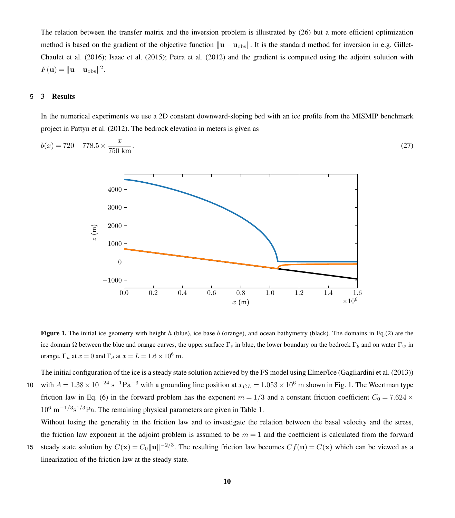The relation between the transfer matrix and the inversion problem is illustrated by [\(26\)](#page-8-0) but a more efficient optimization [m](#page-26-1)ethod is based on the gradient of the objective function  $\|\mathbf{u} - \mathbf{u}_{obs}\|$ . It is the standard method for inversion in e.g. [Gillet-](#page-26-1)[Chaulet et al.](#page-26-1) [\(2016\)](#page-26-1); [Isaac et al.](#page-26-2) [\(2015\)](#page-26-2); [Petra et al.](#page-27-2) [\(2012\)](#page-27-2) and the gradient is computed using the adjoint solution with  $F({\bf u}) = ||{\bf u} - {\bf u}_{\rm obs}||^2.$ 

# <span id="page-9-0"></span>5 3 Results

In the numerical experiments we use a 2D constant downward-sloping bed with an ice profile from the MISMIP benchmark project in [Pattyn et al.](#page-27-15) [\(2012\)](#page-27-15). The bedrock elevation in meters is given as

<span id="page-9-1"></span>
$$
b(x) = 720 - 778.5 \times \frac{x}{750 \text{ km}}.\tag{27}
$$



**Figure 1.** The initial ice geometry with height h (blue), ice base b (orange), and ocean bathymetry (black). The domains in Eq.[\(2\)](#page-3-2) are the ice domain  $\Omega$  between the blue and orange curves, the upper surface  $\Gamma_s$  in blue, the lower boundary on the bedrock  $\Gamma_b$  and on water  $\Gamma_w$  in orange,  $\Gamma_u$  at  $x = 0$  and  $\Gamma_d$  at  $x = L = 1.6 \times 10^6$  m.

The initial configuration of the ice is a steady state solution achieved by the FS model using Elmer/Ice [\(Gagliardini et al.](#page-26-6) [\(2013\)](#page-26-6)) 10 with  $A = 1.38 \times 10^{-24} \text{ s}^{-1} \text{Pa}^{-3}$  $A = 1.38 \times 10^{-24} \text{ s}^{-1} \text{Pa}^{-3}$  $A = 1.38 \times 10^{-24} \text{ s}^{-1} \text{Pa}^{-3}$  with a grounding line position at  $x_{GL} = 1.053 \times 10^6 \text{ m}$  shown in Fig. 1. The Weertman type friction law in Eq. [\(6\)](#page-3-1) in the forward problem has the exponent  $m = 1/3$  and a constant friction coefficient  $C_0 = 7.624 \times$  $10^6$  m<sup>-1/3</sup>s<sup>1/3</sup>Pa. The remaining physical parameters are given in Table [1.](#page-10-0)

Without losing the generality in the friction law and to investigate the relation between the basal velocity and the stress, the friction law exponent in the adjoint problem is assumed to be  $m = 1$  and the coefficient is calculated from the forward

15 steady state solution by  $C(\mathbf{x}) = C_0 ||\mathbf{u}||^{-2/3}$ . The resulting friction law becomes  $Cf(\mathbf{u}) = C(\mathbf{x})$  which can be viewed as a linearization of the friction law at the steady state.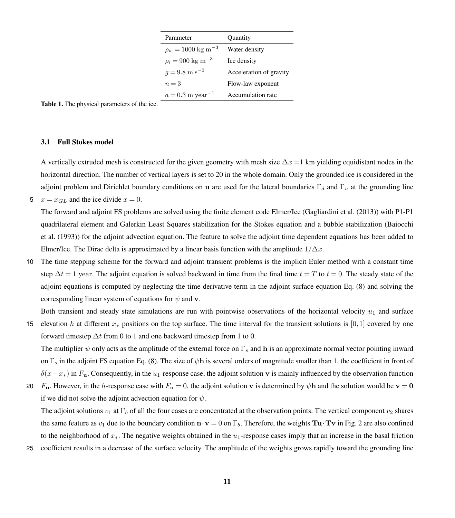| Parameter                         | Quantity                |
|-----------------------------------|-------------------------|
| $\rho_w = 1000 \text{ kg m}^{-3}$ | Water density           |
| $\rho_i = 900 \text{ kg m}^{-3}$  | Ice density             |
| $q = 9.8 \text{ m s}^{-2}$        | Acceleration of gravity |
| $n=3$                             | Flow-law exponent       |
| $a = 0.3$ m year <sup>-1</sup>    | Accumulation rate       |

<span id="page-10-0"></span>Table 1. The physical parameters of the ice.

# <span id="page-10-1"></span>3.1 Full Stokes model

A vertically extruded mesh is constructed for the given geometry with mesh size  $\Delta x = 1$  km yielding equidistant nodes in the horizontal direction. The number of vertical layers is set to 20 in the whole domain. Only the grounded ice is considered in the adjoint problem and Dirichlet boundary conditions on u are used for the lateral boundaries  $\Gamma_d$  and  $\Gamma_u$  at the grounding line 5  $x = x_{GL}$  and the ice divide  $x = 0$ .

The forward and adjoint FS problems are solved using the finite element code Elmer/Ice [\(Gagliardini et al.](#page-26-6) [\(2013\)](#page-26-6)) with P1-P1 [q](#page-26-14)uadrilateral element and Galerkin Least Squares stabilization for the Stokes equation and a bubble stabilization [\(Baiocchi](#page-26-14) [et al.](#page-26-14) [\(1993\)](#page-26-14)) for the adjoint advection equation. The feature to solve the adjoint time dependent equations has been added to Elmer/Ice. The Dirac delta is approximated by a linear basis function with the amplitude  $1/\Delta x$ .

10 The time stepping scheme for the forward and adjoint transient problems is the implicit Euler method with a constant time step  $\Delta t = 1$  year. The adjoint equation is solved backward in time from the final time  $t = T$  to  $t = 0$ . The steady state of the adjoint equations is computed by neglecting the time derivative term in the adjoint surface equation Eq. [\(8\)](#page-4-0) and solving the corresponding linear system of equations for  $\psi$  and v.

Both transient and steady state simulations are run with pointwise observations of the horizontal velocity  $u_1$  and surface

<sup>15</sup> elevation h at different x<sup>∗</sup> positions on the top surface. The time interval for the transient solutions is [0,1] covered by one forward timestep  $\Delta t$  from 0 to 1 and one backward timestep from 1 to 0.

The multiplier  $\psi$  only acts as the amplitude of the external force on  $\Gamma_s$  and h is an approximate normal vector pointing inward on  $\Gamma_s$  in the adjoint FS equation Eq. [\(8\)](#page-4-0). The size of  $\psi$ h is several orders of magnitude smaller than 1, the coefficient in front of  $\delta(x-x_*)$  in F<sub>u</sub>. Consequently, in the u<sub>1</sub>-response case, the adjoint solution v is mainly influenced by the observation function

20 F<sub>u</sub>. However, in the h-response case with  $F_u = 0$ , the adjoint solution v is determined by  $\psi$ h and the solution would be v = 0 if we did not solve the adjoint advection equation for  $\psi$ .

The adjoint solutions  $v_1$  at  $\Gamma_b$  of all the four cases are concentrated at the observation points. The vertical component  $v_2$  shares the same feature as  $v_1$  due to the boundary condition  $\mathbf{n} \cdot \mathbf{v} = 0$  on  $\Gamma_b$ . Therefore, the weights Tu $\cdot \mathbf{T} \mathbf{v}$  in Fig. [2](#page-11-0) are also confined to the neighborhood of  $x_*$ . The negative weights obtained in the  $u_1$ -response cases imply that an increase in the basal friction

25 coefficient results in a decrease of the surface velocity. The amplitude of the weights grows rapidly toward the grounding line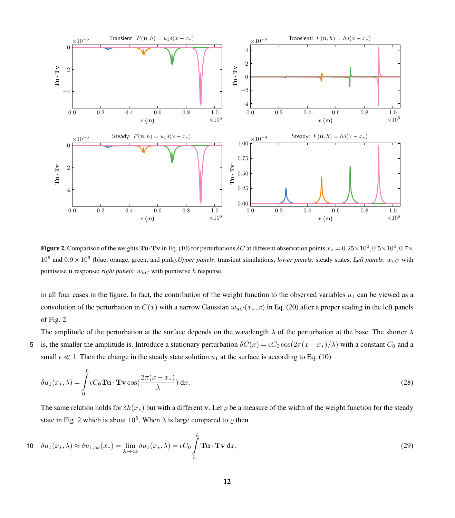<span id="page-11-0"></span>

**Figure 2.** Comparison of the weights  $Tu \cdot Tv$  in Eq. [\(10\)](#page-4-4) for perturbations  $\delta C$  at different observation points  $x_* = 0.25 \times 10^6, 0.5 \times 10^6, 0.7 \times$  $10^6$  and  $0.9 \times 10^6$  (blue, orange, green, and pink). *Upper panels*: transient simulations; *lower panels*: steady states. *Left panels*:  $w_{uC}$  with pointwise u response; *right panels*:  $w_{hC}$  with pointwise h response.

in all four cases in the figure. In fact, the contribution of the weight function to the observed variables  $u_1$  can be viewed as a convolution of the perturbation in  $C(x)$  with a narrow Gaussian  $w_{uC}(x_*,x)$  in Eq. [\(20\)](#page-7-1) after a proper scaling in the left panels of Fig. [2.](#page-11-0)

The amplitude of the perturbation at the surface depends on the wavelength  $\lambda$  of the perturbation at the base. The shorter  $\lambda$ 5 is, the smaller the amplitude is. Introduce a stationary perturbation  $\delta C(x) = \epsilon C_0 \cos(2\pi(x - x_*)/\lambda)$  with a constant  $C_0$  and a small  $\epsilon \ll 1$ . Then the change in the steady state solution  $u_1$  at the surface is according to Eq. [\(10\)](#page-4-4)

<span id="page-11-1"></span>
$$
\delta u_1(x_*,\lambda) = \int_0^L \epsilon C_0 \mathbf{T} \mathbf{u} \cdot \mathbf{T} \mathbf{v} \cos(\frac{2\pi(x - x_*)}{\lambda}) dx.
$$
 (28)

The same relation holds for  $\delta h(x_*)$  but with a different v. Let  $\rho$  be a measure of the width of the weight function for the steady state in Fig. [2](#page-11-0) which is about  $10^5$ . When  $\lambda$  is large compared to  $\varrho$  then

$$
10 \quad \delta u_1(x_*, \lambda) \approx \delta u_{1,\infty}(x_*) = \lim_{\lambda \to \infty} \delta u_1(x_*, \lambda) = \epsilon C_0 \int_0^L \mathbf{T} \mathbf{u} \cdot \mathbf{T} \mathbf{v} \, \mathrm{d}x,\tag{29}
$$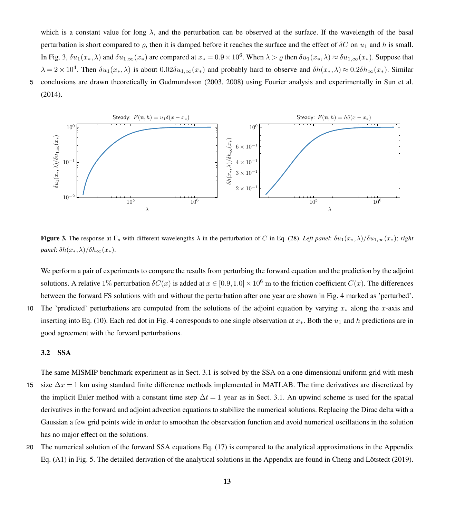which is a constant value for long  $\lambda$ , and the perturbation can be observed at the surface. If the wavelength of the basal perturbation is short compared to  $\varrho$ , then it is damped before it reaches the surface and the effect of  $\delta C$  on  $u_1$  and h is small. In Fig. [3,](#page-12-0)  $\delta u_1(x_*,\lambda)$  and  $\delta u_{1,\infty}(x_*)$  are compared at  $x_* = 0.9 \times 10^6$ . When  $\lambda > \varrho$  then  $\delta u_1(x_*,\lambda) \approx \delta u_{1,\infty}(x_*)$ . Suppose that  $\lambda = 2 \times 10^4$ . Then  $\delta u_1(x_*,\lambda)$  is about  $0.02\delta u_{1,\infty}(x_*)$  and probably hard to observe and  $\delta h(x_*,\lambda) \approx 0.2\delta h_\infty(x_*)$ . Similar 5 conclusions are drawn theoretically in [Gudmundsson](#page-26-9) [\(2003,](#page-26-9) [2008\)](#page-26-10) using Fourier analysis and experimentally in [Sun et al.](#page-28-4) [\(2014\)](#page-28-4).

<span id="page-12-0"></span>

Figure 3. The response at  $\Gamma_s$  with different wavelengths  $\lambda$  in the perturbation of C in Eq. [\(28\)](#page-11-1). *Left panel*:  $\delta u_1(x_*,\lambda)/\delta u_{1,\infty}(x_*)$ ; *right panel*:  $\delta h(x_*,\lambda)/\delta h_{\infty}(x_*)$ .

We perform a pair of experiments to compare the results from perturbing the forward equation and the prediction by the adjoint solutions. A relative 1% perturbation  $\delta C(x)$  is added at  $x \in [0.9, 1.0] \times 10^6$  m to the friction coefficient  $C(x)$ . The differences between the forward FS solutions with and without the perturbation after one year are shown in Fig. [4](#page-13-0) marked as 'perturbed'.

10 The 'predicted' perturbations are computed from the solutions of the adjoint equation by varying  $x_*$  along the x-axis and inserting into Eq. [\(10\)](#page-4-4). Each red dot in Fig. [4](#page-13-0) corresponds to one single observation at  $x_*$ . Both the  $u_1$  and h predictions are in good agreement with the forward perturbations.

# 3.2 SSA

The same MISMIP benchmark experiment as in Sect. [3.1](#page-10-1) is solved by the SSA on a one dimensional uniform grid with mesh

- 15 size  $\Delta x = 1$  km using standard finite difference methods implemented in MATLAB. The time derivatives are discretized by the implicit Euler method with a constant time step  $\Delta t = 1$  year as in Sect. [3.1.](#page-10-1) An upwind scheme is used for the spatial derivatives in the forward and adjoint advection equations to stabilize the numerical solutions. Replacing the Dirac delta with a Gaussian a few grid points wide in order to smoothen the observation function and avoid numerical oscillations in the solution has no major effect on the solutions.
- 20 The numerical solution of the forward SSA equations Eq. [\(17\)](#page-6-2) is compared to the analytical approximations in the Appendix Eq. [\(A1\)](#page-24-1) in Fig. [5.](#page-14-0) The detailed derivation of the analytical solutions in the Appendix are found in [Cheng and Lötstedt](#page-26-5) [\(2019\)](#page-26-5).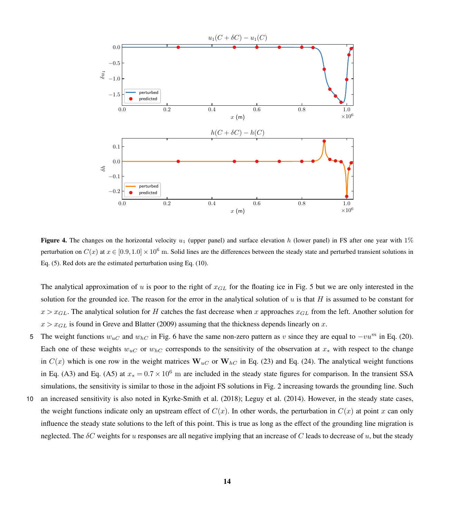<span id="page-13-0"></span>

**Figure 4.** The changes on the horizontal velocity  $u_1$  (upper panel) and surface elevation h (lower panel) in FS after one year with 1% perturbation on  $C(x)$  at  $x \in [0.9, 1.0] \times 10^6$  m. Solid lines are the differences between the steady state and perturbed transient solutions in Eq. [\(5\)](#page-3-0). Red dots are the estimated perturbation using Eq. [\(10\)](#page-4-4).

The analytical approximation of u is poor to the right of  $x_{GL}$  for the floating ice in Fig. [5](#page-14-0) but we are only interested in the solution for the grounded ice. The reason for the error in the analytical solution of  $u$  is that  $H$  is assumed to be constant for  $x > x_{GL}$ . The analytical solution for H catches the fast decrease when x approaches  $x_{GL}$  from the left. Another solution for  $x > x_{GL}$  is found in [Greve and Blatter](#page-26-0) [\(2009\)](#page-26-0) assuming that the thickness depends linearly on x.

- 5 The weight functions  $w_{uC}$  and  $w_{hC}$  in Fig. [6](#page-15-0) have the same non-zero pattern as v since they are equal to  $-vu<sup>m</sup>$  in Eq. [\(20\)](#page-7-1). Each one of these weights  $w_{uC}$  or  $w_{hC}$  corresponds to the sensitivity of the observation at  $x_*$  with respect to the change in  $C(x)$  which is one row in the weight matrices  $W_{uC}$  or  $W_{hC}$  in Eq. [\(23\)](#page-7-2) and Eq. [\(24\)](#page-8-1). The analytical weight functions in Eq. [\(A3\)](#page-25-0) and Eq. [\(A5\)](#page-25-1) at  $x_* = 0.7 \times 10^6$  m are included in the steady state figures for comparison. In the transient SSA simulations, the sensitivity is similar to those in the adjoint FS solutions in Fig. [2](#page-11-0) increasing towards the grounding line. Such
- 10 an increased sensitivity is also noted in [Kyrke-Smith et al.](#page-26-12) [\(2018\)](#page-26-12); [Leguy et al.](#page-27-16) [\(2014\)](#page-27-16). However, in the steady state cases, the weight functions indicate only an upstream effect of  $C(x)$ . In other words, the perturbation in  $C(x)$  at point x can only influence the steady state solutions to the left of this point. This is true as long as the effect of the grounding line migration is neglected. The  $\delta C$  weights for u responses are all negative implying that an increase of C leads to decrease of u, but the steady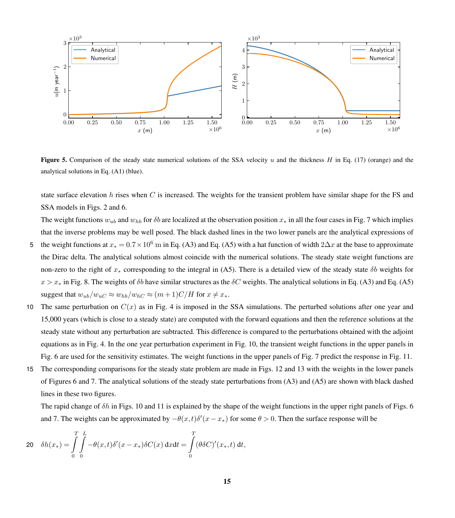<span id="page-14-0"></span>

Figure 5. Comparison of the steady state numerical solutions of the SSA velocity u and the thickness  $H$  in Eq. [\(17\)](#page-6-2) (orange) and the analytical solutions in Eq. [\(A1\)](#page-24-1) (blue).

state surface elevation h rises when  $C$  is increased. The weights for the transient problem have similar shape for the FS and SSA models in Figs. [2](#page-11-0) and [6.](#page-15-0)

The weight functions  $w_{ub}$  and  $w_{hb}$  for  $\delta b$  are localized at the observation position  $x_*$  in all the four cases in Fig. [7](#page-16-0) which implies that the inverse problems may be well posed. The black dashed lines in the two lower panels are the analytical expressions of

- 5 the weight functions at  $x_* = 0.7 \times 10^6$  m in Eq. [\(A3\)](#page-25-0) and Eq. [\(A5\)](#page-25-1) with a hat function of width  $2\Delta x$  at the base to approximate the Dirac delta. The analytical solutions almost coincide with the numerical solutions. The steady state weight functions are non-zero to the right of  $x_*$  corresponding to the integral in [\(A5\)](#page-25-1). There is a detailed view of the steady state  $\delta b$  weights for  $x > x<sub>*</sub>$  in Fig. [8.](#page-16-1) The weights of  $\delta b$  have similar structures as the  $\delta C$  weights. The analytical solutions in Eq. [\(A3\)](#page-25-0) and Eq. [\(A5\)](#page-25-1) suggest that  $w_{ub}/w_{uC} \approx w_{hb}/w_{hC} \approx (m+1)C/H$  for  $x \neq x_*$ .
- 10 The same perturbation on  $C(x)$  as in Fig. [4](#page-13-0) is imposed in the SSA simulations. The perturbed solutions after one year and 15,000 years (which is close to a steady state) are computed with the forward equations and then the reference solutions at the steady state without any perturbation are subtracted. This difference is compared to the perturbations obtained with the adjoint equations as in Fig. [4.](#page-13-0) In the one year perturbation experiment in Fig. [10,](#page-18-1) the transient weight functions in the upper panels in Fig. [6](#page-15-0) are used for the sensitivity estimates. The weight functions in the upper panels of Fig. [7](#page-16-0) predict the response in Fig. [11.](#page-19-0)
- 15 The corresponding comparisons for the steady state problem are made in Figs. [12](#page-20-0) and [13](#page-21-1) with the weights in the lower panels of Figures [6](#page-15-0) and [7.](#page-16-0) The analytical solutions of the steady state perturbations from [\(A3\)](#page-25-0) and [\(A5\)](#page-25-1) are shown with black dashed lines in these two figures.

The rapid change of  $\delta h$  in Figs. [10](#page-18-1) and [11](#page-19-0) is explained by the shape of the weight functions in the upper right panels of Figs. [6](#page-15-0) and [7.](#page-16-0) The weights can be approximated by  $-\theta(x,t)\delta'(x-x_*)$  for some  $\theta > 0$ . Then the surface response will be

$$
20 \quad \delta h(x_*) = \int\limits_0^T \int\limits_0^L -\theta(x,t)\delta'(x-x_*)\delta C(x) \, \mathrm{d}x \mathrm{d}t = \int\limits_0^T (\theta \delta C)'(x_*,t) \, \mathrm{d}t,
$$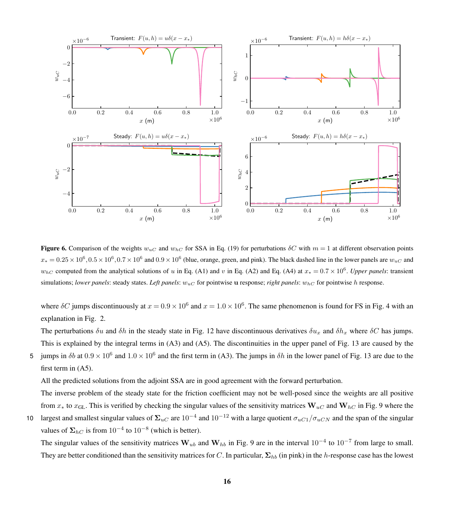<span id="page-15-0"></span>

Figure 6. Comparison of the weights  $w_{uC}$  and  $w_{hC}$  for SSA in Eq. [\(19\)](#page-7-0) for perturbations  $\delta C$  with  $m = 1$  at different observation points  $x_*=0.25\times10^6, 0.5\times10^6, 0.7\times10^6$  and  $0.9\times10^6$  (blue, orange, green, and pink). The black dashed line in the lower panels are  $w_{uC}$  and  $w_{hC}$  computed from the analytical solutions of u in Eq. [\(A1\)](#page-24-1) and v in Eq. [\(A2\)](#page-25-2) and Eq. [\(A4\)](#page-25-3) at  $x_* = 0.7 \times 10^6$ . Upper panels: transient simulations; *lower panels*: steady states. *Left panels*:  $w_{uC}$  for pointwise **u** response; *right panels*:  $w_{hC}$  for pointwise h response.

where  $\delta C$  jumps discontinuously at  $x = 0.9 \times 10^6$  and  $x = 1.0 \times 10^6$ . The same phenomenon is found for FS in Fig. [4](#page-13-0) with an explanation in Fig. [2.](#page-11-0)

The perturbations  $\delta u$  and  $\delta h$  in the steady state in Fig. [12](#page-20-0) have discontinuous derivatives  $\delta u_x$  and  $\delta h_x$  where  $\delta C$  has jumps. This is explained by the integral terms in [\(A3\)](#page-25-0) and [\(A5\)](#page-25-1). The discontinuities in the upper panel of Fig. [13](#page-21-1) are caused by the

5 jumps in  $\delta b$  at  $0.9 \times 10^6$  and  $1.0 \times 10^6$  and the first term in [\(A3\)](#page-25-0). The jumps in  $\delta h$  in the lower panel of Fig. [13](#page-21-1) are due to the first term in [\(A5\)](#page-25-1).

All the predicted solutions from the adjoint SSA are in good agreement with the forward perturbation.

The inverse problem of the steady state for the friction coefficient may not be well-posed since the weights are all positive from  $x_*$  to  $x_{GL}$ . This is verified by checking the singular values of the sensitivity matrices  $W_{uC}$  and  $W_{hC}$  in Fig. [9](#page-17-0) where the

10 largest and smallest singular values of  $\Sigma_{uC}$  are  $10^{-4}$  and  $10^{-12}$  with a large quotient  $\sigma_{uC1}/\sigma_{uCN}$  and the span of the singular values of  $\Sigma_{hC}$  is from 10<sup>-4</sup> to 10<sup>-8</sup> (which is better).

The singular values of the sensitivity matrices  $W_{ub}$  and  $W_{hb}$  in Fig. [9](#page-17-0) are in the interval  $10^{-4}$  to  $10^{-7}$  from large to small. They are better conditioned than the sensitivity matrices for C. In particular,  $\Sigma_{hb}$  (in pink) in the h-response case has the lowest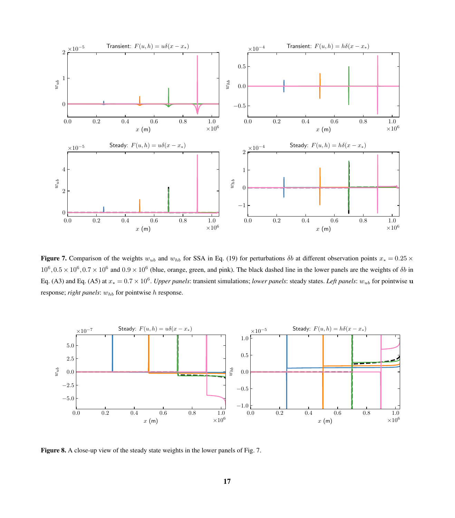<span id="page-16-0"></span>

**Figure 7.** Comparison of the weights  $w_{ub}$  and  $w_{hb}$  for SSA in Eq. [\(19\)](#page-7-0) for perturbations  $\delta b$  at different observation points  $x_* = 0.25 \times$  $10^6, 0.5 \times 10^6, 0.7 \times 10^6$  and  $0.9 \times 10^6$  (blue, orange, green, and pink). The black dashed line in the lower panels are the weights of  $\delta b$  in Eq. [\(A3\)](#page-25-0) and Eq. [\(A5\)](#page-25-1) at  $x_* = 0.7 \times 10^6$ . *Upper panels*: transient simulations; *lower panels*: steady states. *Left panels*:  $w_{ub}$  for pointwise **u** response; *right panels*:  $w_{hb}$  for pointwise h response.

<span id="page-16-1"></span>

Figure 8. A close-up view of the steady state weights in the lower panels of Fig. [7.](#page-16-0)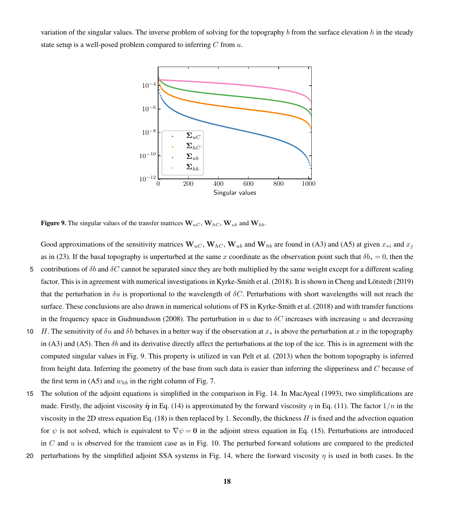<span id="page-17-0"></span>variation of the singular values. The inverse problem of solving for the topography b from the surface elevation h in the steady state setup is a well-posed problem compared to inferring  $C$  from  $u$ .



**Figure 9.** The singular values of the transfer matrices  $W_{uC}$ ,  $W_{hC}$ ,  $W_{ub}$  and  $W_{hb}$ .

Good approximations of the sensitivity matrices  $W_{uC}$ ,  $W_{hC}$ ,  $W_{ub}$  and  $W_{hb}$  are found in [\(A3\)](#page-25-0) and [\(A5\)](#page-25-1) at given  $x_{*i}$  and  $x_j$ as in [\(23\)](#page-7-2). If the basal topography is unperturbed at the same x coordinate as the observation point such that  $\delta b_* = 0$ , then the 5 contributions of  $\delta b$  and  $\delta C$  cannot be separated since they are both multiplied by the same weight except for a different scaling factor. This is in agreement with numerical investigations in [Kyrke-Smith et al.](#page-26-12) [\(2018\)](#page-26-12). It is shown in [Cheng and Lötstedt](#page-26-5) [\(2019\)](#page-26-5) that the perturbation in  $\delta u$  is proportional to the wavelength of  $\delta C$ . Perturbations with short wavelengths will not reach the surface. These conclusions are also drawn in numerical solutions of FS in [Kyrke-Smith et al.](#page-26-12) [\(2018\)](#page-26-12) and with transfer functions in the frequency space in [Gudmundsson](#page-26-10) [\(2008\)](#page-26-10). The perturbation in u due to  $\delta C$  increases with increasing u and decreasing 10 H. The sensitivity of  $\delta u$  and  $\delta h$  behaves in a better way if the observation at  $x_*$  is above the perturbation at x in the topography

- in [\(A3\)](#page-25-0) and [\(A5\)](#page-25-1). Then  $\delta b$  and its derivative directly affect the perturbations at the top of the ice. This is in agreement with the computed singular values in Fig. [9.](#page-17-0) This property is utilized in [van Pelt et al.](#page-27-13) [\(2013\)](#page-27-13) when the bottom topography is inferred from height data. Inferring the geometry of the base from such data is easier than inferring the slipperiness and C because of the first term in [\(A5\)](#page-25-1) and  $w_{hb}$  in the right column of Fig. [7.](#page-16-0)
- 15 The solution of the adjoint equations is simplified in the comparison in Fig. [14.](#page-22-0) In [MacAyeal](#page-27-1) [\(1993\)](#page-27-1), two simplifications are made. Firstly, the adjoint viscosity  $\tilde{\eta}$  in Eq. [\(14\)](#page-6-1) is approximated by the forward viscosity  $\eta$  in Eq. [\(11\)](#page-5-1). The factor  $1/n$  in the viscosity in the 2D stress equation Eq. [\(18\)](#page-7-3) is then replaced by 1. Secondly, the thickness H is fixed and the advection equation for  $\psi$  is not solved, which is equivalent to  $\nabla \psi = \mathbf{0}$  in the adjoint stress equation in Eq. [\(15\)](#page-6-0). Perturbations are introduced in C and  $u$  is observed for the transient case as in Fig. [10.](#page-18-1) The perturbed forward solutions are compared to the predicted
- 20 perturbations by the simplified adjoint SSA systems in Fig. [14,](#page-22-0) where the forward viscosity  $\eta$  is used in both cases. In the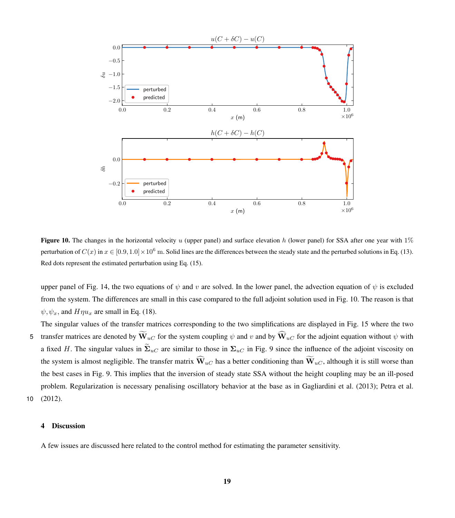<span id="page-18-1"></span>

**Figure 10.** The changes in the horizontal velocity u (upper panel) and surface elevation h (lower panel) for SSA after one year with  $1\%$ perturbation of  $C(x)$  in  $x \in [0.9, 1.0] \times 10^6$  m. Solid lines are the differences between the steady state and the perturbed solutions in Eq. [\(13\)](#page-5-0). Red dots represent the estimated perturbation using Eq. [\(15\)](#page-6-0).

upper panel of Fig. [14,](#page-22-0) the two equations of  $\psi$  and v are solved. In the lower panel, the advection equation of  $\psi$  is excluded from the system. The differences are small in this case compared to the full adjoint solution used in Fig. [10.](#page-18-1) The reason is that  $\psi, \psi_x$ , and  $H \eta u_x$  are small in Eq. [\(18\)](#page-7-3).

The singular values of the transfer matrices corresponding to the two simplifications are displayed in Fig. [15](#page-22-1) where the two 5 transfer matrices are denoted by  $\widetilde{W}_{uC}$  for the system coupling  $\psi$  and  $v$  and by  $\widehat{W}_{uC}$  for the adjoint equation without  $\psi$  with a fixed H. The singular values in  $\tilde{\Sigma}_{uC}$  are similar to those in  $\Sigma_{uC}$  in Fig. [9](#page-17-0) since the influence of the adjoint viscosity on the system is almost negligible. The transfer matrix  $\widehat{W}_{uC}$  has a better conditioning than  $\widetilde{W}_{uC}$ , although it is still worse than the best cases in Fig. [9.](#page-17-0) This implies that the inversion of steady state SSA without the height coupling may be an ill-posed problem. Regularization is necessary penalising oscillatory behavior at the base as in [Gagliardini et al.](#page-26-6) [\(2013\)](#page-26-6); [Petra et al.](#page-27-2) 10 [\(2012\)](#page-27-2).

## <span id="page-18-0"></span>4 Discussion

A few issues are discussed here related to the control method for estimating the parameter sensitivity.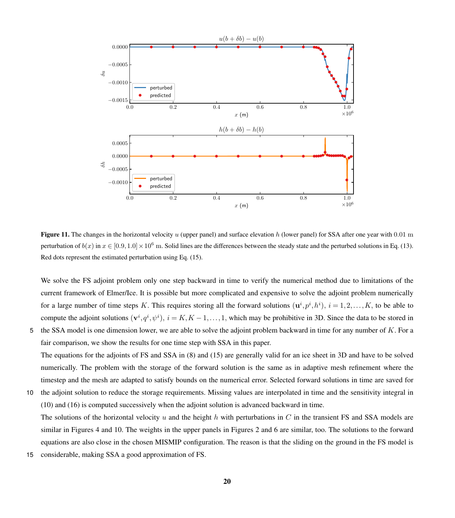<span id="page-19-0"></span>

Figure 11. The changes in the horizontal velocity  $u$  (upper panel) and surface elevation  $h$  (lower panel) for SSA after one year with 0.01 m perturbation of  $b(x)$  in  $x \in [0.9, 1.0] \times 10^6$  m. Solid lines are the differences between the steady state and the perturbed solutions in Eq. [\(13\)](#page-5-0). Red dots represent the estimated perturbation using Eq. [\(15\)](#page-6-0).

We solve the FS adjoint problem only one step backward in time to verify the numerical method due to limitations of the current framework of Elmer/Ice. It is possible but more complicated and expensive to solve the adjoint problem numerically for a large number of time steps K. This requires storing all the forward solutions  $(\mathbf{u}^i, p^i, h^i)$ ,  $i = 1, 2, ..., K$ , to be able to compute the adjoint solutions  $(v^i, q^i, \psi^i)$ ,  $i = K, K - 1, ..., 1$ , which may be prohibitive in 3D. Since the data to be stored in 5 the SSA model is one dimension lower, we are able to solve the adjoint problem backward in time for any number of K. For a

- fair comparison, we show the results for one time step with SSA in this paper. The equations for the adjoints of FS and SSA in [\(8\)](#page-4-0) and [\(15\)](#page-6-0) are generally valid for an ice sheet in 3D and have to be solved numerically. The problem with the storage of the forward solution is the same as in adaptive mesh refinement where the timestep and the mesh are adapted to satisfy bounds on the numerical error. Selected forward solutions in time are saved for
- 10 the adjoint solution to reduce the storage requirements. Missing values are interpolated in time and the sensitivity integral in [\(10\)](#page-4-4) and [\(16\)](#page-6-3) is computed successively when the adjoint solution is advanced backward in time.

The solutions of the horizontal velocity u and the height h with perturbations in C in the transient FS and SSA models are similar in Figures [4](#page-13-0) and [10.](#page-18-1) The weights in the upper panels in Figures [2](#page-11-0) and [6](#page-15-0) are similar, too. The solutions to the forward equations are also close in the chosen MISMIP configuration. The reason is that the sliding on the ground in the FS model is

15 considerable, making SSA a good approximation of FS.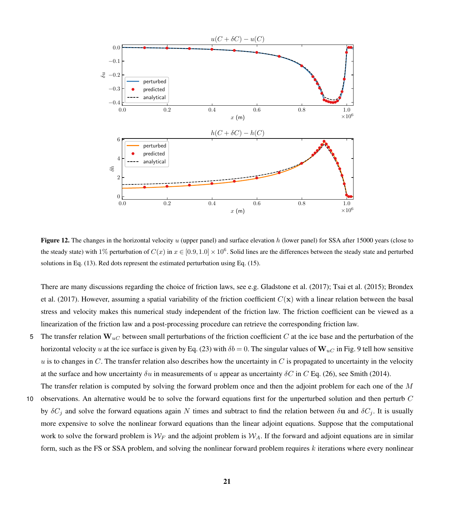<span id="page-20-0"></span>

**Figure 12.** The changes in the horizontal velocity u (upper panel) and surface elevation h (lower panel) for SSA after 15000 years (close to the steady state) with 1% perturbation of  $C(x)$  in  $x \in [0.9, 1.0] \times 10^6$ . Solid lines are the differences between the steady state and perturbed solutions in Eq. [\(13\)](#page-5-0). Red dots represent the estimated perturbation using Eq. [\(15\)](#page-6-0).

[T](#page-26-16)here are many discussions regarding the choice of friction laws, see e.g. [Gladstone et al.](#page-26-15) [\(2017\)](#page-26-15); [Tsai et al.](#page-28-5) [\(2015\)](#page-28-5); [Brondex](#page-26-16) [et al.](#page-26-16) [\(2017\)](#page-26-16). However, assuming a spatial variability of the friction coefficient  $C(\mathbf{x})$  with a linear relation between the basal stress and velocity makes this numerical study independent of the friction law. The friction coefficient can be viewed as a linearization of the friction law and a post-processing procedure can retrieve the corresponding friction law.

- 5 The transfer relation  $W_{uC}$  between small perturbations of the friction coefficient C at the ice base and the perturbation of the horizontal velocity u at the ice surface is given by Eq. [\(23\)](#page-7-2) with  $\delta b = 0$ . The singular values of  $\mathbf{W}_{u}$  in Fig. [9](#page-17-0) tell how sensitive u is to changes in C. The transfer relation also describes how the uncertainty in C is propagated to uncertainty in the velocity at the surface and how uncertainty  $\delta u$  in measurements of u appear as uncertainty  $\delta C$  in C Eq. [\(26\)](#page-8-0), see [Smith](#page-28-2) [\(2014\)](#page-28-2).
- The transfer relation is computed by solving the forward problem once and then the adjoint problem for each one of the M 10 observations. An alternative would be to solve the forward equations first for the unperturbed solution and then perturb C by  $\delta C_i$  and solve the forward equations again N times and subtract to find the relation between  $\delta u$  and  $\delta C_i$ . It is usually more expensive to solve the nonlinear forward equations than the linear adjoint equations. Suppose that the computational work to solve the forward problem is  $W_F$  and the adjoint problem is  $W_A$ . If the forward and adjoint equations are in similar form, such as the FS or SSA problem, and solving the nonlinear forward problem requires  $k$  iterations where every nonlinear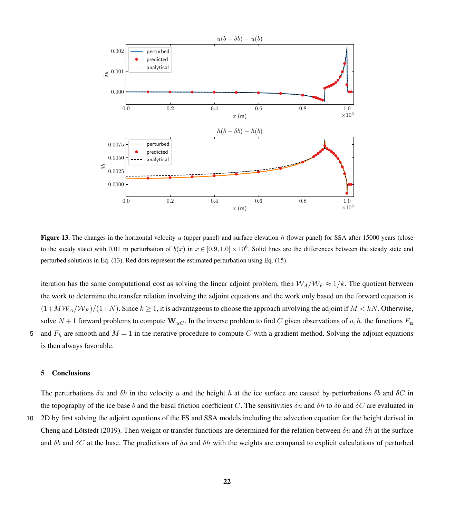<span id="page-21-1"></span>

**Figure 13.** The changes in the horizontal velocity u (upper panel) and surface elevation h (lower panel) for SSA after 15000 years (close to the steady state) with 0.01 m perturbation of  $b(x)$  in  $x \in [0.9, 1.0] \times 10^6$ . Solid lines are the differences between the steady state and perturbed solutions in Eq. [\(13\)](#page-5-0). Red dots represent the estimated perturbation using Eq. [\(15\)](#page-6-0).

iteration has the same computational cost as solving the linear adjoint problem, then  $W_A/W_F \approx 1/k$ . The quotient between the work to determine the transfer relation involving the adjoint equations and the work only based on the forward equation is  $(1+MW_A/W_F)/(1+N)$ . Since  $k \ge 1$ , it is advantageous to choose the approach involving the adjoint if  $M < kN$ . Otherwise, solve  $N+1$  forward problems to compute  $W_{uC}$ . In the inverse problem to find C given observations of  $u, h$ , the functions  $F_u$ 5 and  $F_h$  are smooth and  $M = 1$  in the iterative procedure to compute C with a gradient method. Solving the adjoint equations is then always favorable.

#### <span id="page-21-0"></span>5 Conclusions

The perturbations  $\delta u$  and  $\delta h$  in the velocity u and the height h at the ice surface are caused by perturbations  $\delta b$  and  $\delta C$  in the topography of the ice base b and the basal friction coefficient C. The sensitivities  $\delta u$  and  $\delta h$  to  $\delta b$  and  $\delta C$  are evaluated in

10 2D by first solving the adjoint equations of the FS and SSA models including the advection equation for the height derived in [Cheng and Lötstedt](#page-26-5) [\(2019\)](#page-26-5). Then weight or transfer functions are determined for the relation between  $\delta u$  and  $\delta h$  at the surface and  $\delta b$  and  $\delta C$  at the base. The predictions of  $\delta u$  and  $\delta h$  with the weights are compared to explicit calculations of perturbed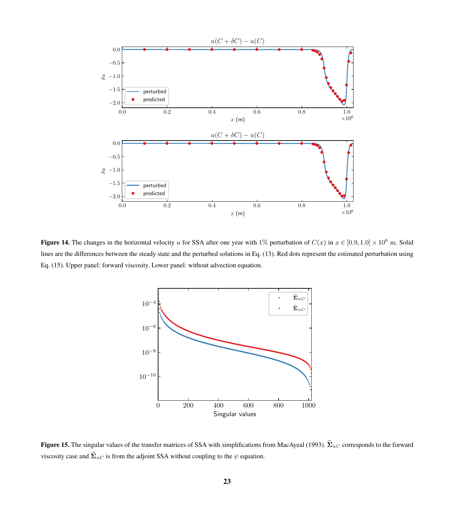<span id="page-22-0"></span>

<span id="page-22-1"></span>Figure 14. The changes in the horizontal velocity u for SSA after one year with 1% perturbation of  $C(x)$  in  $x \in [0.9, 1.0] \times 10^6$  m. Solid lines are the differences between the steady state and the perturbed solutions in Eq. [\(13\)](#page-5-0). Red dots represent the estimated perturbation using Eq. [\(15\)](#page-6-0). Upper panel: forward viscosity. Lower panel: without advection equation.



Figure 15. The singular values of the transfer matrices of SSA with simplifications from [MacAyeal](#page-27-1) [\(1993\)](#page-27-1).  $\widetilde{\Sigma}_{uC}$  corresponds to the forward viscosity case and  $\hat{\Sigma}_{uC}$  is from the adjoint SSA without coupling to the  $\psi$  equation.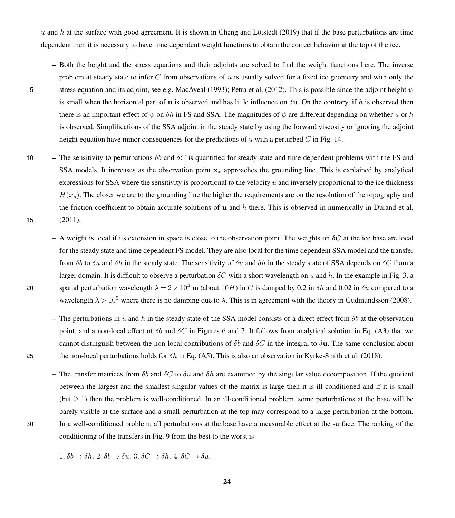u and h at the surface with good agreement. It is shown in [Cheng and Lötstedt](#page-26-5) [\(2019\)](#page-26-5) that if the base perturbations are time dependent then it is necessary to have time dependent weight functions to obtain the correct behavior at the top of the ice.

- Both the height and the stress equations and their adjoints are solved to find the weight functions here. The inverse problem at steady state to infer  $C$  from observations of  $u$  is usually solved for a fixed ice geometry and with only the
- 
- 5 stress equation and its adjoint, see e.g. [MacAyeal](#page-27-1) [\(1993\)](#page-27-1); [Petra et al.](#page-27-2) [\(2012\)](#page-27-2). This is possible since the adjoint height  $\psi$ is small when the horizontal part of u is observed and has little influence on  $\delta u$ . On the contrary, if h is observed then there is an important effect of  $\psi$  on  $\delta h$  in FS and SSA. The magnitudes of  $\psi$  are different depending on whether u or h is observed. Simplifications of the SSA adjoint in the steady state by using the forward viscosity or ignoring the adjoint height equation have minor consequences for the predictions of u with a perturbed C in Fig. [14.](#page-22-0)
- 10 The sensitivity to perturbations  $\delta b$  and  $\delta C$  is quantified for steady state and time dependent problems with the FS and SSA models. It increases as the observation point x<sub>∗</sub> approaches the grounding line. This is explained by analytical expressions for SSA where the sensitivity is proportional to the velocity  $u$  and inversely proportional to the ice thickness  $H(x_*)$ . The closer we are to the grounding line the higher the requirements are on the resolution of the topography and the friction coefficient to obtain accurate solutions of u and h there. This is observed in numerically in [Durand et al.](#page-26-8) 15 [\(2011\)](#page-26-8).
- A weight is local if its extension in space is close to the observation point. The weights on  $\delta C$  at the ice base are local for the steady state and time dependent FS model. They are also local for the time dependent SSA model and the transfer from  $\delta b$  to  $\delta u$  and  $\delta h$  in the steady state. The sensitivity of  $\delta u$  and  $\delta h$  in the steady state of SSA depends on  $\delta C$  from a larger domain. It is difficult to observe a perturbation  $\delta C$  with a short wavelength on u and h. In the example in Fig. [3,](#page-12-0) a 20 spatial perturbation wavelength  $\lambda = 2 \times 10^4$  m (about 10H) in C is damped by 0.2 in δh and 0.02 in δu compared to a wavelength  $\lambda > 10^5$  where there is no damping due to  $\lambda$ . This is in agreement with the theory in [Gudmundsson](#page-26-10) [\(2008\)](#page-26-10).
- The perturbations in u and h in the steady state of the SSA model consists of a direct effect from  $\delta b$  at the observation point, and a non-local effect of  $\delta b$  and  $\delta C$  in Figures [6](#page-15-0) and [7.](#page-16-0) It follows from analytical solution in Eq. [\(A3\)](#page-25-0) that we cannot distinguish between the non-local contributions of  $\delta b$  and  $\delta C$  in the integral to  $\delta u$ . The same conclusion about 25 the non-local perturbations holds for  $\delta h$  in Eq. [\(A5\)](#page-25-1). This is also an observation in [Kyrke-Smith et al.](#page-26-12) [\(2018\)](#page-26-12).
- The transfer matrices from  $\delta b$  and  $\delta C$  to  $\delta u$  and  $\delta h$  are examined by the singular value decomposition. If the quotient between the largest and the smallest singular values of the matrix is large then it is ill-conditioned and if it is small (but  $\geq$  1) then the problem is well-conditioned. In an ill-conditioned problem, some perturbations at the base will be barely visible at the surface and a small perturbation at the top may correspond to a large perturbation at the bottom. 30 In a well-conditioned problem, all perturbations at the base have a measurable effect at the surface. The ranking of the conditioning of the transfers in Fig. [9](#page-17-0) from the best to the worst is
	- 1.  $\delta b \rightarrow \delta h$ , 2.  $\delta b \rightarrow \delta u$ , 3.  $\delta C \rightarrow \delta h$ , 4.  $\delta C \rightarrow \delta u$ .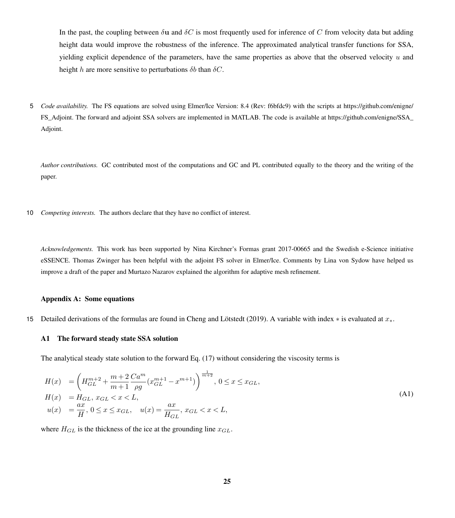In the past, the coupling between  $\delta u$  and  $\delta C$  is most frequently used for inference of C from velocity data but adding height data would improve the robustness of the inference. The approximated analytical transfer functions for SSA, yielding explicit dependence of the parameters, have the same properties as above that the observed velocity u and height h are more sensitive to perturbations  $\delta b$  than  $\delta C$ .

5 *[C](https://github.com/enigne/FS_Adjoint)ode availability.* The FS equations are solved using Elmer/Ice Version: 8.4 (Rev: f6bfdc9) with the scripts at [https://github.com/enigne/](https://github.com/enigne/FS_Adjoint) [FS\\_Adjoint.](https://github.com/enigne/FS_Adjoint) The forward and adjoint SSA solvers are implemented in MATLAB. The code is available at [https://github.com/enigne/SSA\\_](https://github.com/enigne/SSA_Adjoint) [Adjoint.](https://github.com/enigne/SSA_Adjoint)

*Author contributions.* GC contributed most of the computations and GC and PL contributed equally to the theory and the writing of the paper.

10 *Competing interests.* The authors declare that they have no conflict of interest.

*Acknowledgements.* This work has been supported by Nina Kirchner's Formas grant 2017-00665 and the Swedish e-Science initiative eSSENCE. Thomas Zwinger has been helpful with the adjoint FS solver in Elmer/Ice. Comments by Lina von Sydow have helped us improve a draft of the paper and Murtazo Nazarov explained the algorithm for adaptive mesh refinement.

#### <span id="page-24-0"></span>Appendix A: Some equations

<sup>15</sup> Detailed derivations of the formulas are found in [Cheng and Lötstedt](#page-26-5) [\(2019\)](#page-26-5). A variable with index ∗ is evaluated at x∗.

## A1 The forward steady state SSA solution

The analytical steady state solution to the forward Eq. [\(17\)](#page-6-2) without considering the viscosity terms is

<span id="page-24-1"></span>
$$
H(x) = \left(H_{GL}^{m+2} + \frac{m+2}{m+1} \frac{Ca^m}{\rho g} (x_{GL}^{m+1} - x^{m+1})\right)^{\frac{1}{m+2}}, 0 \le x \le x_{GL},
$$
  
\n
$$
H(x) = H_{GL}, x_{GL} < x < L,
$$
  
\n
$$
u(x) = \frac{ax}{H}, 0 \le x \le x_{GL}, \quad u(x) = \frac{ax}{H_{GL}}, x_{GL} < x < L,
$$
\n
$$
(A1)
$$

where  $H_{GL}$  is the thickness of the ice at the grounding line  $x_{GL}$ .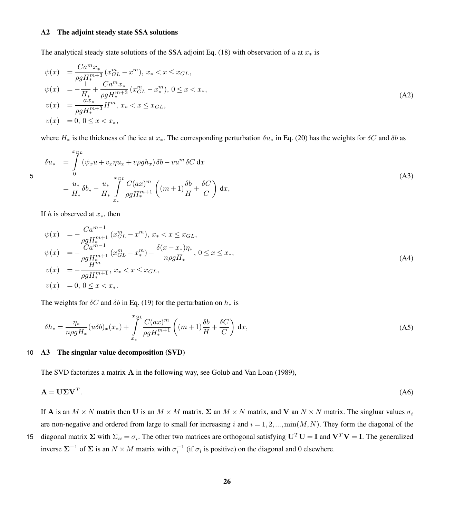## A2 The adjoint steady state SSA solutions

The analytical steady state solutions of the SSA adjoint Eq. [\(18\)](#page-7-3) with observation of u at  $x<sub>*</sub>$  is

<span id="page-25-2"></span>
$$
\psi(x) = \frac{Ca^m x_*}{\rho g H_*^{m+3}} (x_{GL}^m - x^m), \, x_* < x \le x_{GL},
$$
\n
$$
\psi(x) = -\frac{1}{H_*} + \frac{Ca^m x_*}{\rho g H_*^{m+3}} (x_{GL}^m - x_*^m), \, 0 \le x < x_*,
$$
\n
$$
v(x) = \frac{ax_*}{\rho g H_*^{m+3}} H^m, \, x_* < x \le x_{GL},
$$
\n
$$
v(x) = 0, \, 0 \le x < x_*,
$$
\n
$$
(A2)
$$

<span id="page-25-0"></span>where  $H_*$  is the thickness of the ice at  $x_*$ . The corresponding perturbation  $\delta u_*$  in Eq. [\(20\)](#page-7-1) has the weights for  $\delta C$  and  $\delta b$  as

$$
\delta u_* = \int_0^{x_{GL}} (\psi_x u + v_x \eta u_x + v \rho g h_x) \delta b - v u^m \delta C \, dx
$$
  
\n
$$
= \frac{u_*}{H_*} \delta b_* - \frac{u_*}{H_*} \int_{x_*}^{x_{GL}} \frac{C(ax)^m}{\rho g H_*^{m+1}} \left( (m+1) \frac{\delta b}{H} + \frac{\delta C}{C} \right) dx,
$$
\n(A3)

If h is observed at  $x<sub>*</sub>$ , then

<span id="page-25-3"></span>
$$
\psi(x) = -\frac{Ca^{m-1}}{\rho g H_{*}^{m+1}} (x_{GL}^{m} - x^{m}), x_{*} < x \leq x_{GL},
$$
  
\n
$$
\psi(x) = -\frac{Ca^{m-1}}{\rho g H_{*}^{m+1}} (x_{GL}^{m} - x_{*}^{m}) - \frac{\delta(x - x_{*})\eta_{*}}{n\rho g H_{*}}, 0 \leq x \leq x_{*},
$$
  
\n
$$
v(x) = -\frac{H^{m}}{\rho g H_{*}^{m+1}}, x_{*} < x \leq x_{GL},
$$
  
\n
$$
v(x) = 0, 0 \leq x < x_{*}.
$$
\n(A4)

The weights for  $\delta C$  and  $\delta b$  in Eq. [\(19\)](#page-7-0) for the perturbation on  $h_*$  is

<span id="page-25-1"></span>
$$
\delta h_* = \frac{\eta_*}{n\rho g H_*} (u\delta b)_x(x_*) + \int\limits_{x_*}^{x_{GL}} \frac{C(ax)^m}{\rho g H_*^{m+1}} \left( (m+1)\frac{\delta b}{H} + \frac{\delta C}{C} \right) dx,
$$
\n(A5)

## 10 A3 The singular value decomposition (SVD)

The SVD factorizes a matrix A in the following way, see [Golub and Van Loan](#page-26-13) [\(1989\)](#page-26-13),

$$
\mathbf{A} = \mathbf{U} \Sigma \mathbf{V}^T. \tag{A6}
$$

If A is an  $M \times N$  matrix then U is an  $M \times M$  matrix,  $\Sigma$  an  $M \times N$  matrix, and V an  $N \times N$  matrix. The singluar values  $\sigma_i$ are non-negative and ordered from large to small for increasing i and  $i = 1, 2, ..., min(M, N)$ . They form the diagonal of the

15 diagonal matrix  $\Sigma$  with  $\Sigma_{ii} = \sigma_i$ . The other two matrices are orthogonal satisfying  $U^T U = I$  and  $V^T V = I$ . The generalized inverse  $\Sigma^{-1}$  of  $\Sigma$  is an  $N \times M$  matrix with  $\sigma_i^{-1}$  (if  $\sigma_i$  is positive) on the diagonal and 0 elsewhere.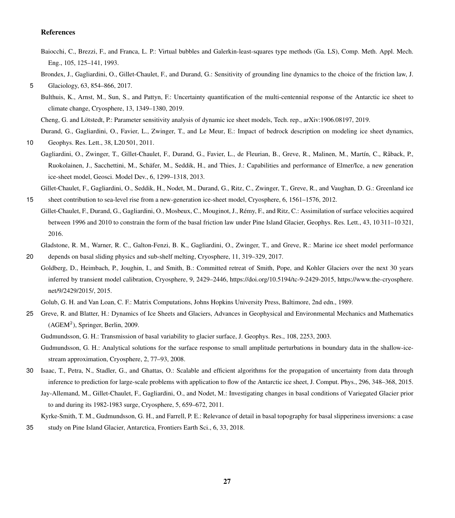# References

<span id="page-26-14"></span>Baiocchi, C., Brezzi, F., and Franca, L. P.: Virtual bubbles and Galerkin-least-squares type methods (Ga. LS), Comp. Meth. Appl. Mech. Eng., 105, 125–141, 1993.

<span id="page-26-16"></span>Brondex, J., Gagliardini, O., Gillet-Chaulet, F., and Durand, G.: Sensitivity of grounding line dynamics to the choice of the friction law, J.

Bulthuis, K., Arnst, M., Sun, S., and Pattyn, F.: Uncertainty quantification of the multi-centennial response of the Antarctic ice sheet to climate change, Cryosphere, 13, 1349–1380, 2019.

<span id="page-26-5"></span>Cheng, G. and Lötstedt, P.: Parameter sensitivity analysis of dynamic ice sheet models, Tech. rep., arXiv:1906.08197, 2019.

<span id="page-26-8"></span>Durand, G., Gagliardini, O., Favier, L., Zwinger, T., and Le Meur, E.: Impact of bedrock description on modeling ice sheet dynamics,

- <span id="page-26-6"></span>10 Geophys. Res. Lett., 38, L20 501, 2011.
- Gagliardini, O., Zwinger, T., Gillet-Chaulet, F., Durand, G., Favier, L., de Fleurian, B., Greve, R., Malinen, M., Martín, C., Råback, P., Ruokolainen, J., Sacchettini, M., Schäfer, M., Seddik, H., and Thies, J.: Capabilities and performance of Elmer/Ice, a new generation ice-sheet model, Geosci. Model Dev., 6, 1299–1318, 2013.

<span id="page-26-7"></span>Gillet-Chaulet, F., Gagliardini, O., Seddik, H., Nodet, M., Durand, G., Ritz, C., Zwinger, T., Greve, R., and Vaughan, D. G.: Greenland ice 15 sheet contribution to sea-level rise from a new-generation ice-sheet model, Cryosphere, 6, 1561–1576, 2012.

<span id="page-26-1"></span>Gillet-Chaulet, F., Durand, G., Gagliardini, O., Mosbeux, C., Mouginot, J., Rémy, F., and Ritz, C.: Assimilation of surface velocities acquired between 1996 and 2010 to constrain the form of the basal friction law under Pine Island Glacier, Geophys. Res. Lett., 43, 10 311–10 321, 2016.

<span id="page-26-15"></span>Gladstone, R. M., Warner, R. C., Galton-Fenzi, B. K., Gagliardini, O., Zwinger, T., and Greve, R.: Marine ice sheet model performance 20 depends on basal sliding physics and sub-shelf melting, Cryosphere, 11, 319–329, 2017.

<span id="page-26-4"></span>Goldberg, D., Heimbach, P., Joughin, I., and Smith, B.: Committed retreat of Smith, Pope, and Kohler Glaciers over the next 30 years inferred by transient model calibration, Cryosphere, 9, 2429–2446, https://doi.org[/10.5194/tc-9-2429-2015,](https://doi.org/10.5194/tc-9-2429-2015) [https://www.the-cryosphere.](https://www.the-cryosphere.net/9/2429/2015/) [net/9/2429/2015/,](https://www.the-cryosphere.net/9/2429/2015/) 2015.

Golub, G. H. and Van Loan, C. F.: Matrix Computations, Johns Hopkins University Press, Baltimore, 2nd edn., 1989.

<span id="page-26-13"></span><span id="page-26-9"></span><span id="page-26-0"></span>25 Greve, R. and Blatter, H.: Dynamics of Ice Sheets and Glaciers, Advances in Geophysical and Environmental Mechanics and Mathematics  $(AGEM<sup>2</sup>)$ , Springer, Berlin, 2009.

- <span id="page-26-10"></span>Gudmundsson, G. H.: Analytical solutions for the surface response to small amplitude perturbations in boundary data in the shallow-icestream approximation, Cryosphere, 2, 77–93, 2008.
- <span id="page-26-3"></span><span id="page-26-2"></span>30 Isaac, T., Petra, N., Stadler, G., and Ghattas, O.: Scalable and efficient algorithms for the propagation of uncertainty from data through inference to prediction for large-scale problems with application to flow of the Antarctic ice sheet, J. Comput. Phys., 296, 348–368, 2015. Jay-Allemand, M., Gillet-Chaulet, F., Gagliardini, O., and Nodet, M.: Investigating changes in basal conditions of Variegated Glacier prior to and during its 1982-1983 surge, Cryosphere, 5, 659–672, 2011.

<span id="page-26-12"></span>Kyrke-Smith, T. M., Gudmundsson, G. H., and Farrell, P. E.: Relevance of detail in basal topography for basal slipperiness inversions: a case 35 study on Pine Island Glacier, Antarctica, Frontiers Earth Sci., 6, 33, 2018.

<span id="page-26-11"></span><sup>5</sup> Glaciology, 63, 854–866, 2017.

Gudmundsson, G. H.: Transmission of basal variability to glacier surface, J. Geophys. Res., 108, 2253, 2003.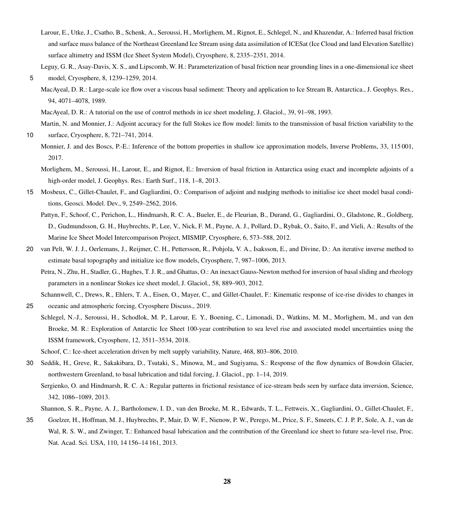- <span id="page-27-8"></span>Larour, E., Utke, J., Csatho, B., Schenk, A., Seroussi, H., Morlighem, M., Rignot, E., Schlegel, N., and Khazendar, A.: Inferred basal friction and surface mass balance of the Northeast Greenland Ice Stream using data assimilation of ICESat (Ice Cloud and land Elevation Satellite) surface altimetry and ISSM (Ice Sheet System Model), Cryosphere, 8, 2335–2351, 2014.
- <span id="page-27-16"></span><span id="page-27-0"></span>Leguy, G. R., Asay-Davis, X. S., and Lipscomb, W. H.: Parameterization of basal friction near grounding lines in a one-dimensional ice sheet 5 model, Cryosphere, 8, 1239–1259, 2014.
	- MacAyeal, D. R.: Large-scale ice flow over a viscous basal sediment: Theory and application to Ice Stream B, Antarctica., J. Geophys. Res., 94, 4071–4078, 1989.
	- MacAyeal, D. R.: A tutorial on the use of control methods in ice sheet modeling, J. Glaciol., 39, 91–98, 1993.

<span id="page-27-10"></span><span id="page-27-1"></span>Martin, N. and Monnier, J.: Adjoint accuracy for the full Stokes ice flow model: limits to the transmission of basal friction variability to the

<span id="page-27-9"></span>10 surface, Cryosphere, 8, 721–741, 2014.

- Monnier, J. and des Boscs, P.-E.: Inference of the bottom properties in shallow ice approximation models, Inverse Problems, 33, 115 001, 2017.
- <span id="page-27-11"></span>Morlighem, M., Seroussi, H., Larour, E., and Rignot, E.: Inversion of basal friction in Antarctica using exact and incomplete adjoints of a high-order model, J. Geophys. Res.: Earth Surf., 118, 1–8, 2013.
- <span id="page-27-15"></span><span id="page-27-12"></span>15 Mosbeux, C., Gillet-Chaulet, F., and Gagliardini, O.: Comparison of adjoint and nudging methods to initialise ice sheet model basal conditions, Geosci. Model. Dev., 9, 2549–2562, 2016.
	- Pattyn, F., Schoof, C., Perichon, L., Hindmarsh, R. C. A., Bueler, E., de Fleurian, B., Durand, G., Gagliardini, O., Gladstone, R., Goldberg, D., Gudmundsson, G. H., Huybrechts, P., Lee, V., Nick, F. M., Payne, A. J., Pollard, D., Rybak, O., Saito, F., and Vieli, A.: Results of the Marine Ice Sheet Model Intercomparison Project, MISMIP, Cryosphere, 6, 573–588, 2012.
- <span id="page-27-13"></span><span id="page-27-2"></span>20 van Pelt, W. J. J., Oerlemans, J., Reijmer, C. H., Pettersson, R., Pohjola, V. A., Isaksson, E., and Divine, D.: An iterative inverse method to estimate basal topography and initialize ice flow models, Cryosphere, 7, 987–1006, 2013.
	- Petra, N., Zhu, H., Stadler, G., Hughes, T. J. R., and Ghattas, O.: An inexact Gauss-Newton method for inversion of basal sliding and rheology parameters in a nonlinear Stokes ice sheet model, J. Glaciol., 58, 889–903, 2012.

<span id="page-27-3"></span>Schannwell, C., Drews, R., Ehlers, T. A., Eisen, O., Mayer, C., and Gillet-Chaulet, F.: Kinematic response of ice-rise divides to changes in 25 oceanic and atmospheric forcing, Cryosphere Discuss., 2019.

<span id="page-27-14"></span>Schlegel, N.-J., Seroussi, H., Schodlok, M. P., Larour, E. Y., Boening, C., Limonadi, D., Watkins, M. M., Morlighem, M., and van den Broeke, M. R.: Exploration of Antarctic Ice Sheet 100-year contribution to sea level rise and associated model uncertainties using the ISSM framework, Cryosphere, 12, 3511–3534, 2018.

Schoof, C.: Ice-sheet acceleration driven by melt supply variability, Nature, 468, 803–806, 2010.

- <span id="page-27-7"></span><span id="page-27-5"></span><span id="page-27-4"></span>30 Seddik, H., Greve, R., Sakakibara, D., Tsutaki, S., Minowa, M., and Sugiyama, S.: Response of the flow dynamics of Bowdoin Glacier, northwestern Greenland, to basal lubrication and tidal forcing, J. Glaciol., pp. 1–14, 2019.
	- Sergienko, O. and Hindmarsh, R. C. A.: Regular patterns in frictional resistance of ice-stream beds seen by surface data inversion, Science, 342, 1086–1089, 2013.
	- Shannon, S. R., Payne, A. J., Bartholomew, I. D., van den Broeke, M. R., Edwards, T. L., Fettweis, X., Gagliardini, O., Gillet-Chaulet, F.,
- <span id="page-27-6"></span>35 Goelzer, H., Hoffman, M. J., Huybrechts, P., Mair, D. W. F., Nienow, P. W., Perego, M., Price, S. F., Smeets, C. J. P. P., Sole, A. J., van de Wal, R. S. W., and Zwinger, T.: Enhanced basal lubrication and the contribution of the Greenland ice sheet to future sea–level rise, Proc. Nat. Acad. Sci. USA, 110, 14 156–14 161, 2013.